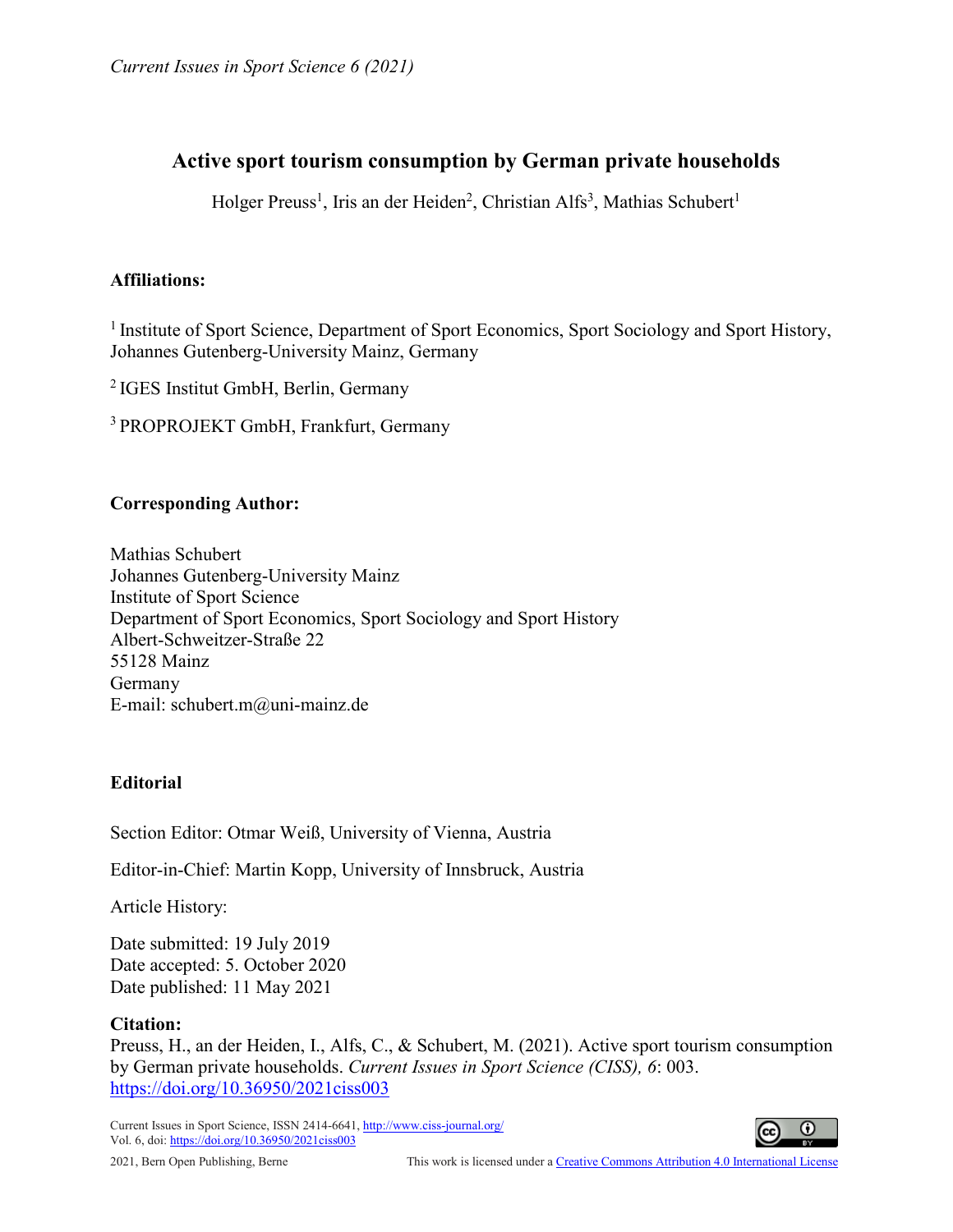# **Active sport tourism consumption by German private households**

Holger Preuss<sup>1</sup>, Iris an der Heiden<sup>2</sup>, Christian Alfs<sup>3</sup>, Mathias Schubert<sup>1</sup>

# **Affiliations:**

<sup>1</sup> Institute of Sport Science, Department of Sport Economics, Sport Sociology and Sport History, Johannes Gutenberg-University Mainz, Germany

2 IGES Institut GmbH, Berlin, Germany

3 PROPROJEKT GmbH, Frankfurt, Germany

# **Corresponding Author:**

Mathias Schubert Johannes Gutenberg-University Mainz Institute of Sport Science Department of Sport Economics, Sport Sociology and Sport History Albert-Schweitzer-Straße 22 55128 Mainz Germany E-mail: [schubert.m@uni-mainz.de](mailto:schubert.m@uni-mainz.de)

# **Editorial**

Section Editor: Otmar Weiß, University of Vienna, Austria

Editor-in-Chief: Martin Kopp, University of Innsbruck, Austria

Article History:

Date submitted: 19 July 2019 Date accepted: 5. October 2020 Date published: 11 May 2021

# **Citation:**

Preuss, H., an der Heiden, I., Alfs, C., & Schubert, M. (2021). Active sport tourism consumption by German private households. *Current Issues in Sport Science (CISS), 6*: 003. <https://doi.org/10.36950/2021ciss003>

Current Issues in Sport Science, ISSN 2414-6641[, http://www.ciss-journal.org/](http://www.ciss-journal.org/) Vol. 6, doi[: https://doi.org/10.36950/2021ciss003](https://doi.org/10.36950/2021ciss003)

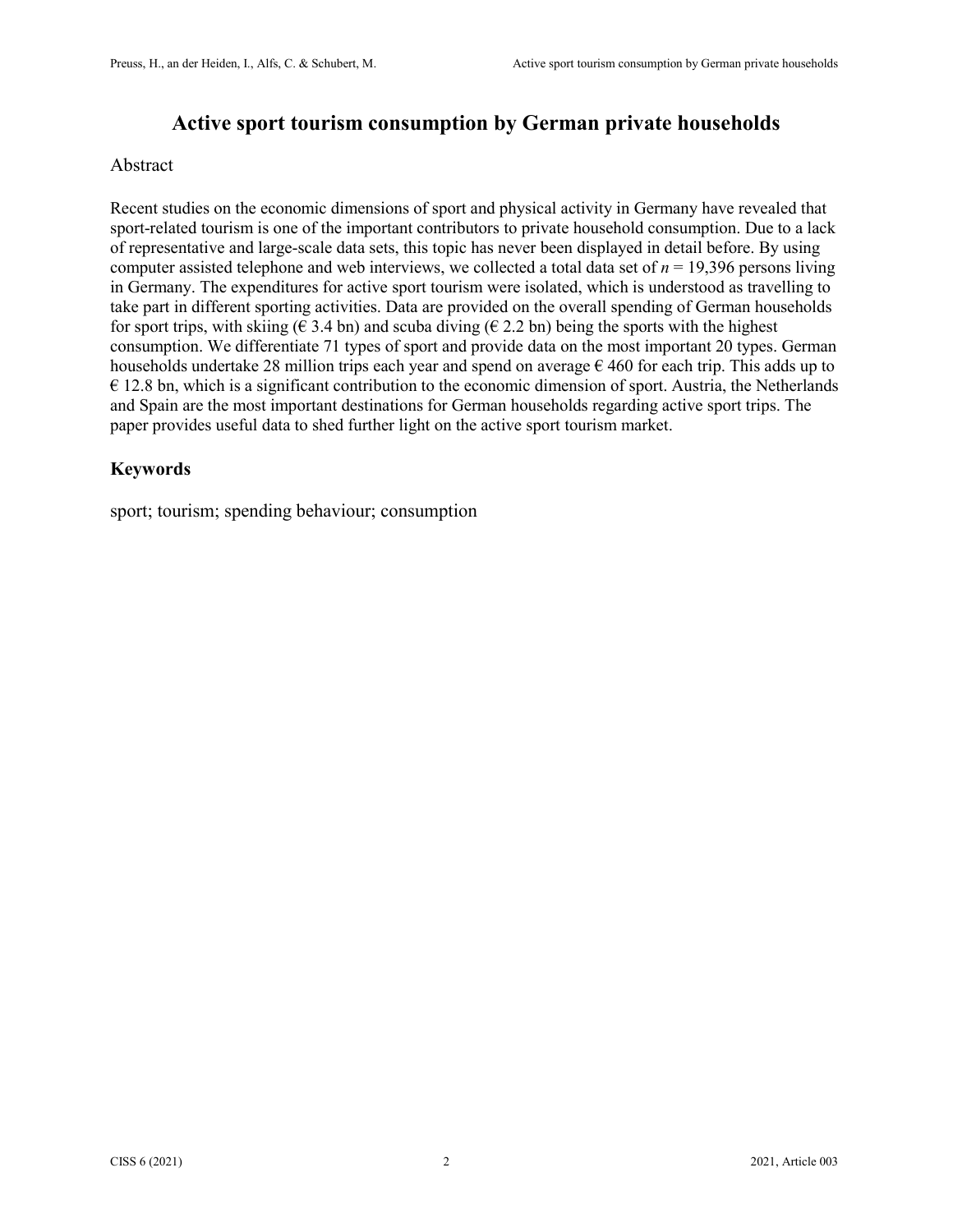# **Active sport tourism consumption by German private households**

#### Abstract

Recent studies on the economic dimensions of sport and physical activity in Germany have revealed that sport-related tourism is one of the important contributors to private household consumption. Due to a lack of representative and large-scale data sets, this topic has never been displayed in detail before. By using computer assisted telephone and web interviews, we collected a total data set of  $n = 19,396$  persons living in Germany. The expenditures for active sport tourism were isolated, which is understood as travelling to take part in different sporting activities. Data are provided on the overall spending of German households for sport trips, with skiing ( $\epsilon$  3.4 bn) and scuba diving ( $\epsilon$  2.2 bn) being the sports with the highest consumption. We differentiate 71 types of sport and provide data on the most important 20 types. German households undertake 28 million trips each year and spend on average  $\epsilon$  460 for each trip. This adds up to  $\epsilon$  12.8 bn, which is a significant contribution to the economic dimension of sport. Austria, the Netherlands and Spain are the most important destinations for German households regarding active sport trips. The paper provides useful data to shed further light on the active sport tourism market.

# **Keywords**

sport; tourism; spending behaviour; consumption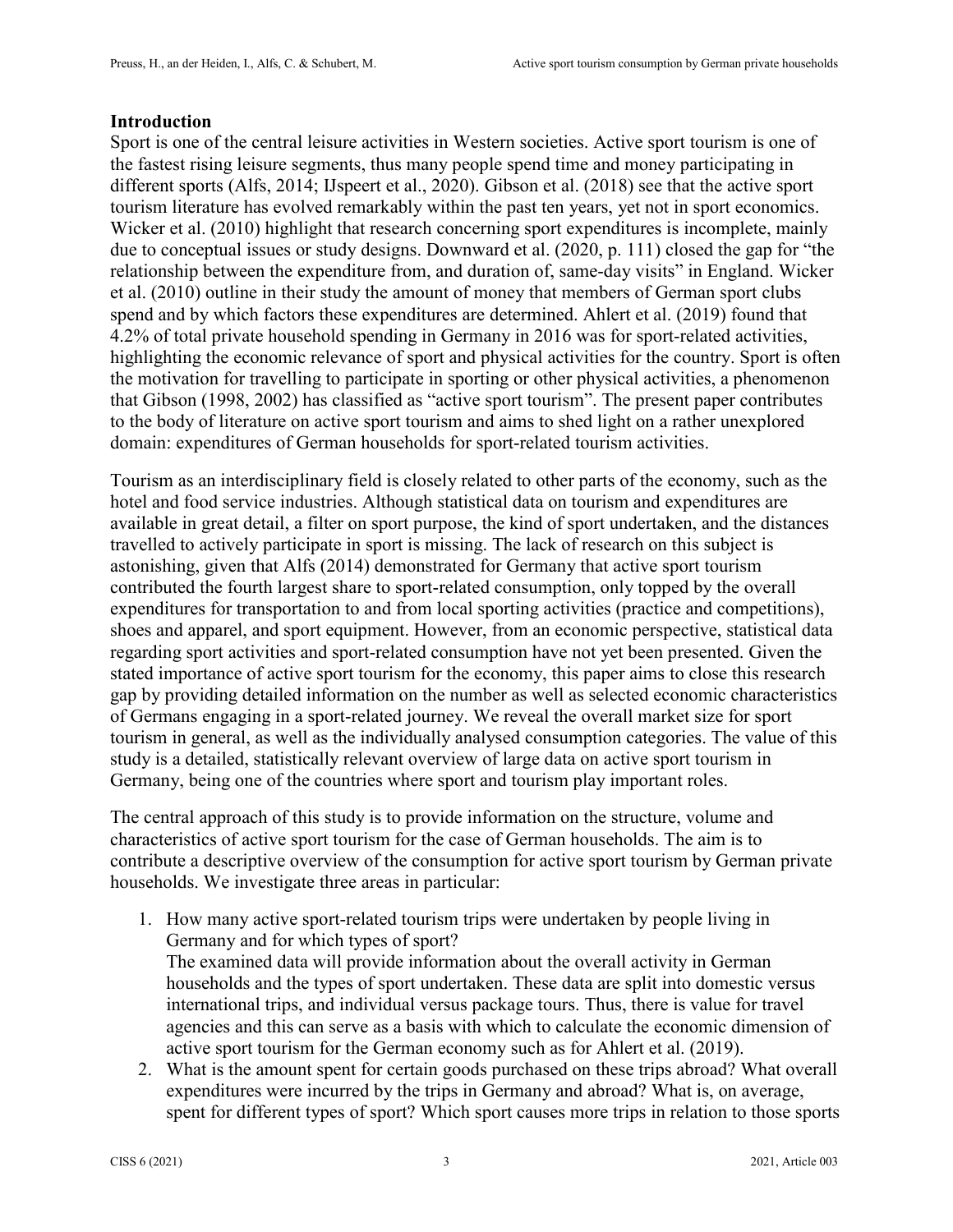#### **Introduction**

Sport is one of the central leisure activities in Western societies. Active sport tourism is one of the fastest rising leisure segments, thus many people spend time and money participating in different sports (Alfs, 2014; IJspeert et al., 2020). Gibson et al. (2018) see that the active sport tourism literature has evolved remarkably within the past ten years, yet not in sport economics. Wicker et al. (2010) highlight that research concerning sport expenditures is incomplete, mainly due to conceptual issues or study designs. Downward et al. (2020, p. 111) closed the gap for "the relationship between the expenditure from, and duration of, same-day visits" in England. Wicker et al. (2010) outline in their study the amount of money that members of German sport clubs spend and by which factors these expenditures are determined. Ahlert et al. (2019) found that 4.2% of total private household spending in Germany in 2016 was for sport-related activities, highlighting the economic relevance of sport and physical activities for the country. Sport is often the motivation for travelling to participate in sporting or other physical activities, a phenomenon that Gibson (1998, 2002) has classified as "active sport tourism". The present paper contributes to the body of literature on active sport tourism and aims to shed light on a rather unexplored domain: expenditures of German households for sport-related tourism activities.

Tourism as an interdisciplinary field is closely related to other parts of the economy, such as the hotel and food service industries. Although statistical data on tourism and expenditures are available in great detail, a filter on sport purpose, the kind of sport undertaken, and the distances travelled to actively participate in sport is missing. The lack of research on this subject is astonishing, given that Alfs (2014) demonstrated for Germany that active sport tourism contributed the fourth largest share to sport-related consumption, only topped by the overall expenditures for transportation to and from local sporting activities (practice and competitions), shoes and apparel, and sport equipment. However, from an economic perspective, statistical data regarding sport activities and sport-related consumption have not yet been presented. Given the stated importance of active sport tourism for the economy, this paper aims to close this research gap by providing detailed information on the number as well as selected economic characteristics of Germans engaging in a sport-related journey. We reveal the overall market size for sport tourism in general, as well as the individually analysed consumption categories. The value of this study is a detailed, statistically relevant overview of large data on active sport tourism in Germany, being one of the countries where sport and tourism play important roles.

The central approach of this study is to provide information on the structure, volume and characteristics of active sport tourism for the case of German households. The aim is to contribute a descriptive overview of the consumption for active sport tourism by German private households. We investigate three areas in particular:

- 1. How many active sport-related tourism trips were undertaken by people living in Germany and for which types of sport? The examined data will provide information about the overall activity in German households and the types of sport undertaken. These data are split into domestic versus international trips, and individual versus package tours. Thus, there is value for travel agencies and this can serve as a basis with which to calculate the economic dimension of active sport tourism for the German economy such as for Ahlert et al. (2019).
- 2. What is the amount spent for certain goods purchased on these trips abroad? What overall expenditures were incurred by the trips in Germany and abroad? What is, on average, spent for different types of sport? Which sport causes more trips in relation to those sports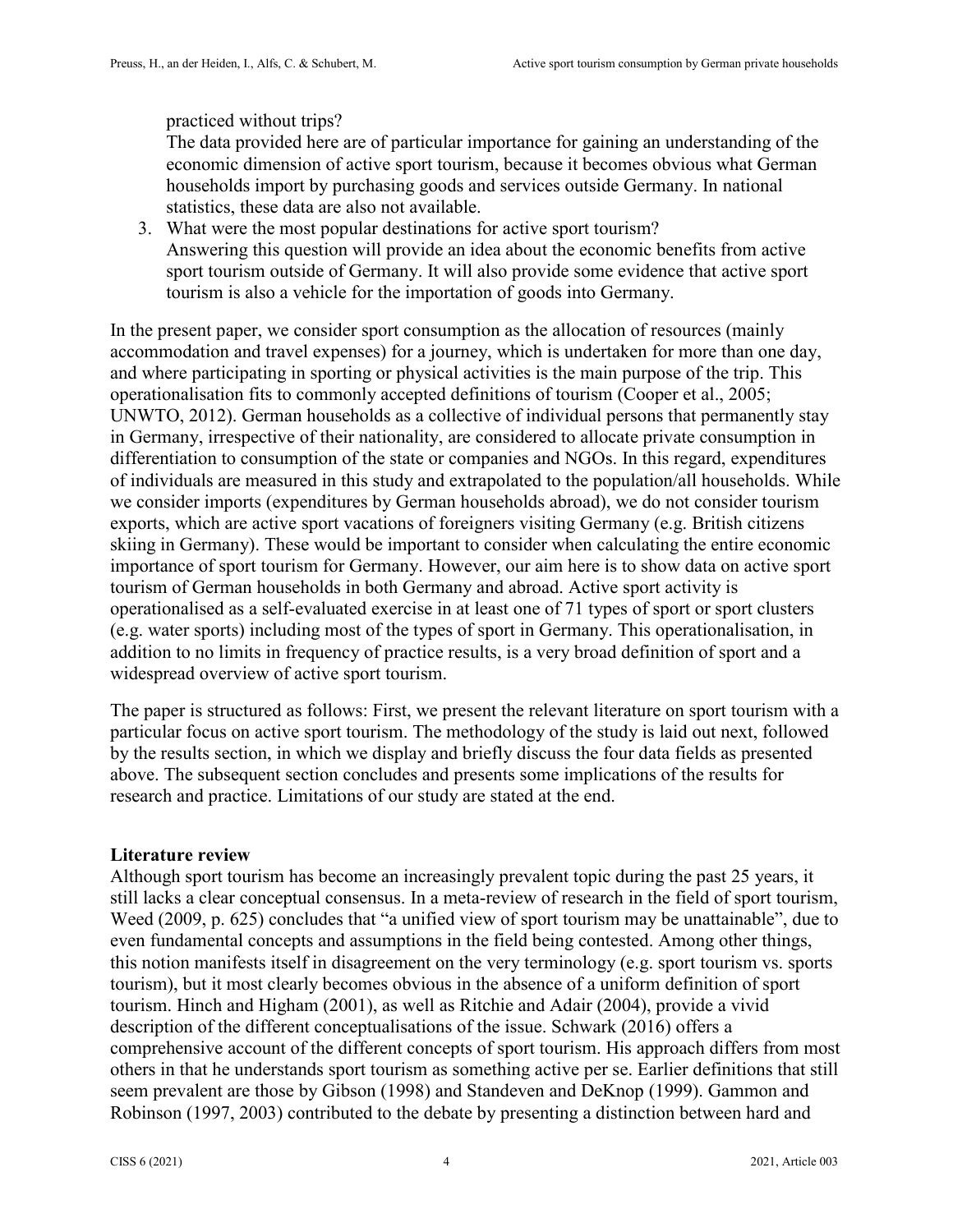#### practiced without trips?

The data provided here are of particular importance for gaining an understanding of the economic dimension of active sport tourism, because it becomes obvious what German households import by purchasing goods and services outside Germany. In national statistics, these data are also not available.

3. What were the most popular destinations for active sport tourism? Answering this question will provide an idea about the economic benefits from active sport tourism outside of Germany. It will also provide some evidence that active sport tourism is also a vehicle for the importation of goods into Germany.

In the present paper, we consider sport consumption as the allocation of resources (mainly accommodation and travel expenses) for a journey, which is undertaken for more than one day, and where participating in sporting or physical activities is the main purpose of the trip. This operationalisation fits to commonly accepted definitions of tourism (Cooper et al., 2005; UNWTO, 2012). German households as a collective of individual persons that permanently stay in Germany, irrespective of their nationality, are considered to allocate private consumption in differentiation to consumption of the state or companies and NGOs. In this regard, expenditures of individuals are measured in this study and extrapolated to the population/all households. While we consider imports (expenditures by German households abroad), we do not consider tourism exports, which are active sport vacations of foreigners visiting Germany (e.g. British citizens skiing in Germany). These would be important to consider when calculating the entire economic importance of sport tourism for Germany. However, our aim here is to show data on active sport tourism of German households in both Germany and abroad. Active sport activity is operationalised as a self-evaluated exercise in at least one of 71 types of sport or sport clusters (e.g. water sports) including most of the types of sport in Germany. This operationalisation, in addition to no limits in frequency of practice results, is a very broad definition of sport and a widespread overview of active sport tourism.

The paper is structured as follows: First, we present the relevant literature on sport tourism with a particular focus on active sport tourism. The methodology of the study is laid out next, followed by the results section, in which we display and briefly discuss the four data fields as presented above. The subsequent section concludes and presents some implications of the results for research and practice. Limitations of our study are stated at the end.

#### **Literature review**

Although sport tourism has become an increasingly prevalent topic during the past 25 years, it still lacks a clear conceptual consensus. In a meta-review of research in the field of sport tourism, Weed (2009, p. 625) concludes that "a unified view of sport tourism may be unattainable", due to even fundamental concepts and assumptions in the field being contested. Among other things, this notion manifests itself in disagreement on the very terminology (e.g. sport tourism vs. sports tourism), but it most clearly becomes obvious in the absence of a uniform definition of sport tourism. Hinch and Higham (2001), as well as Ritchie and Adair (2004), provide a vivid description of the different conceptualisations of the issue. Schwark (2016) offers a comprehensive account of the different concepts of sport tourism. His approach differs from most others in that he understands sport tourism as something active per se. Earlier definitions that still seem prevalent are those by Gibson (1998) and Standeven and DeKnop (1999). Gammon and Robinson (1997, 2003) contributed to the debate by presenting a distinction between hard and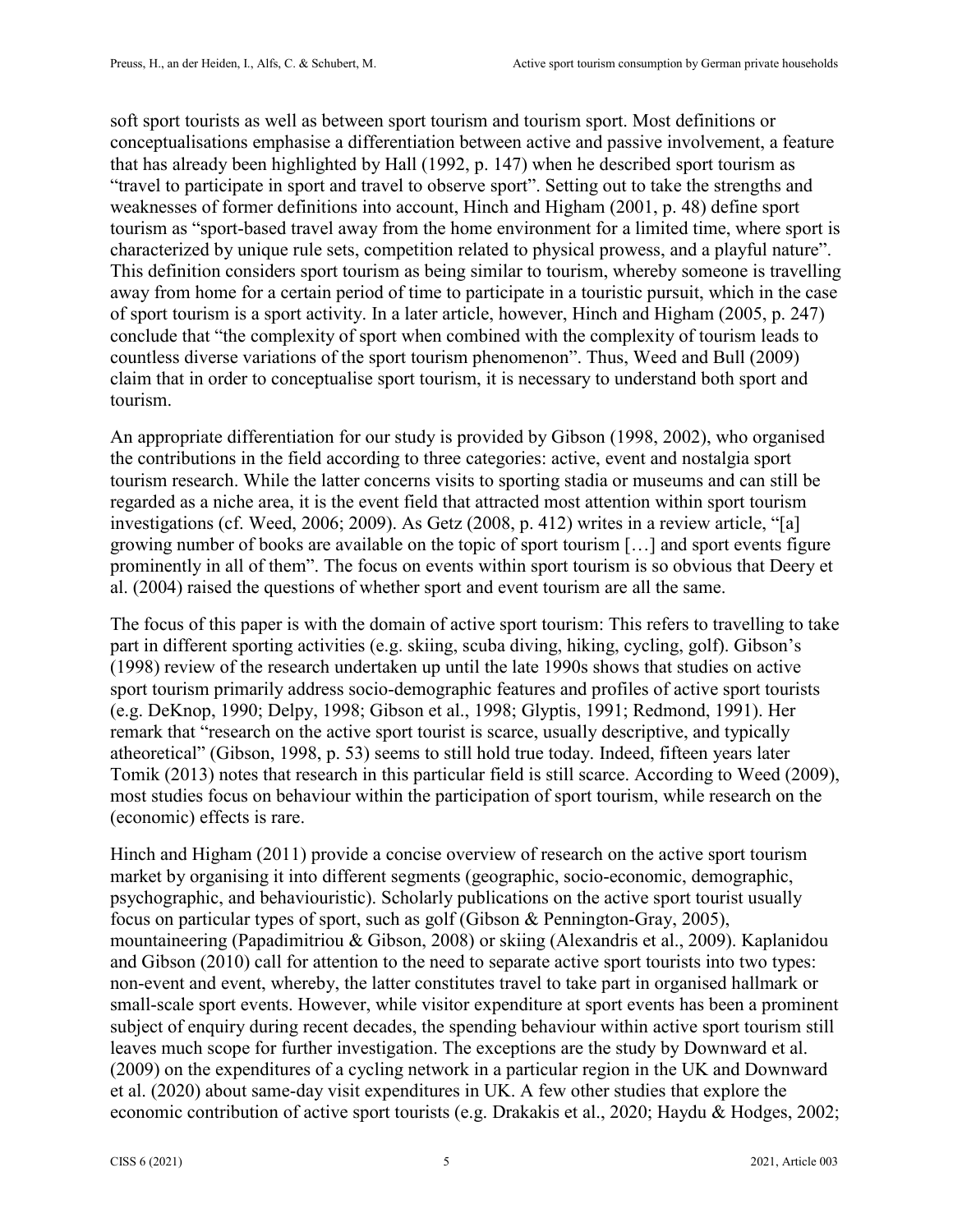soft sport tourists as well as between sport tourism and tourism sport. Most definitions or conceptualisations emphasise a differentiation between active and passive involvement, a feature that has already been highlighted by Hall (1992, p. 147) when he described sport tourism as "travel to participate in sport and travel to observe sport". Setting out to take the strengths and weaknesses of former definitions into account, Hinch and Higham (2001, p. 48) define sport tourism as "sport-based travel away from the home environment for a limited time, where sport is characterized by unique rule sets, competition related to physical prowess, and a playful nature". This definition considers sport tourism as being similar to tourism, whereby someone is travelling away from home for a certain period of time to participate in a touristic pursuit, which in the case of sport tourism is a sport activity. In a later article, however, Hinch and Higham (2005, p. 247) conclude that "the complexity of sport when combined with the complexity of tourism leads to countless diverse variations of the sport tourism phenomenon". Thus, Weed and Bull (2009) claim that in order to conceptualise sport tourism, it is necessary to understand both sport and tourism.

An appropriate differentiation for our study is provided by Gibson (1998, 2002), who organised the contributions in the field according to three categories: active, event and nostalgia sport tourism research. While the latter concerns visits to sporting stadia or museums and can still be regarded as a niche area, it is the event field that attracted most attention within sport tourism investigations (cf. Weed, 2006; 2009). As Getz (2008, p. 412) writes in a review article, "[a] growing number of books are available on the topic of sport tourism […] and sport events figure prominently in all of them". The focus on events within sport tourism is so obvious that Deery et al. (2004) raised the questions of whether sport and event tourism are all the same.

The focus of this paper is with the domain of active sport tourism: This refers to travelling to take part in different sporting activities (e.g. skiing, scuba diving, hiking, cycling, golf). Gibson's (1998) review of the research undertaken up until the late 1990s shows that studies on active sport tourism primarily address socio-demographic features and profiles of active sport tourists (e.g. DeKnop, 1990; Delpy, 1998; Gibson et al., 1998; Glyptis, 1991; Redmond, 1991). Her remark that "research on the active sport tourist is scarce, usually descriptive, and typically atheoretical" (Gibson, 1998, p. 53) seems to still hold true today. Indeed, fifteen years later Tomik (2013) notes that research in this particular field is still scarce. According to Weed (2009), most studies focus on behaviour within the participation of sport tourism, while research on the (economic) effects is rare.

Hinch and Higham (2011) provide a concise overview of research on the active sport tourism market by organising it into different segments (geographic, socio-economic, demographic, psychographic, and behaviouristic). Scholarly publications on the active sport tourist usually focus on particular types of sport, such as golf (Gibson & Pennington-Gray, 2005), mountaineering (Papadimitriou & Gibson, 2008) or skiing (Alexandris et al., 2009). Kaplanidou and Gibson (2010) call for attention to the need to separate active sport tourists into two types: non-event and event, whereby, the latter constitutes travel to take part in organised hallmark or small-scale sport events. However, while visitor expenditure at sport events has been a prominent subject of enquiry during recent decades, the spending behaviour within active sport tourism still leaves much scope for further investigation. The exceptions are the study by Downward et al. (2009) on the expenditures of a cycling network in a particular region in the UK and Downward et al. (2020) about same-day visit expenditures in UK. A few other studies that explore the economic contribution of active sport tourists (e.g. Drakakis et al., 2020; Haydu & Hodges, 2002;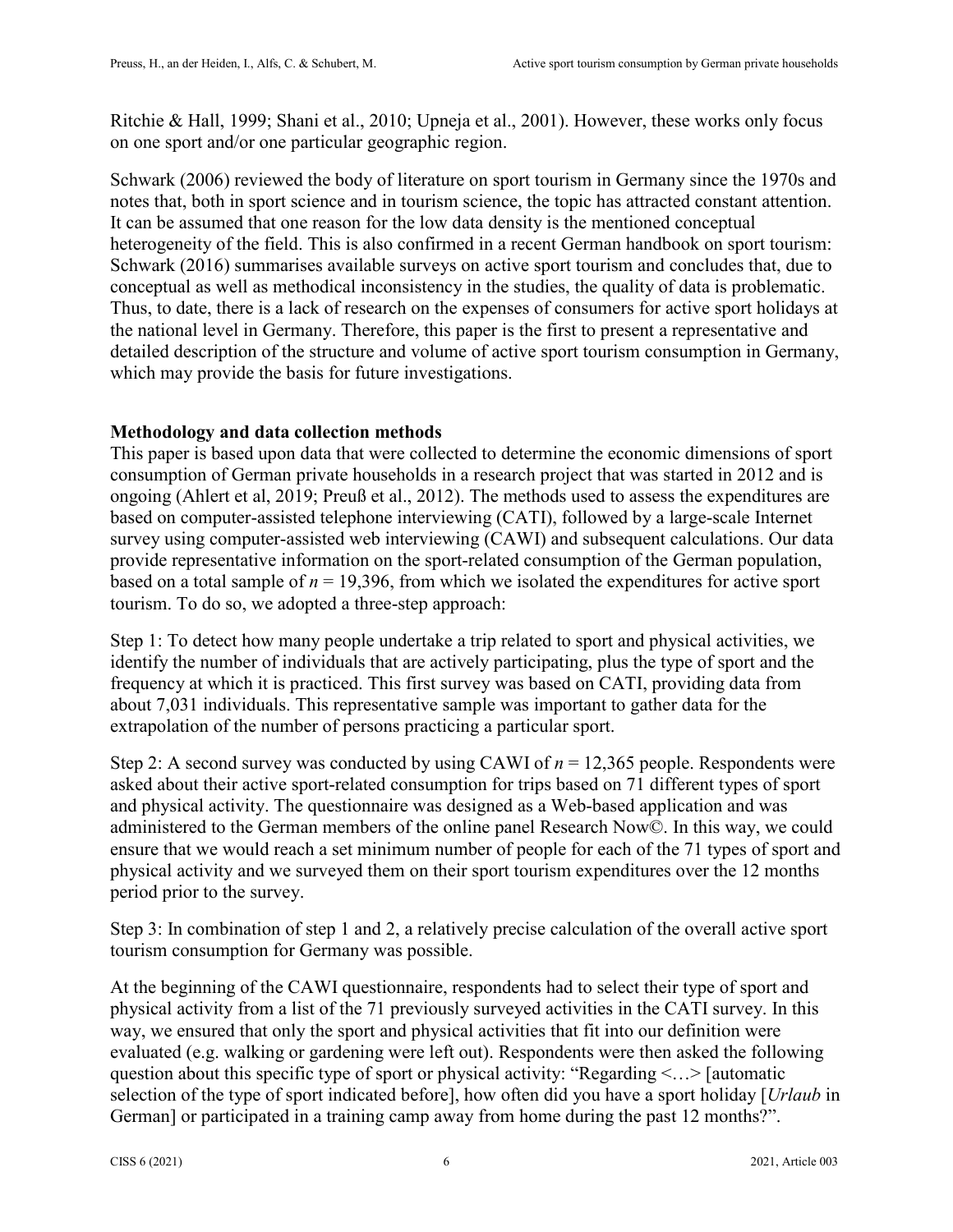Ritchie & Hall, 1999; Shani et al., 2010; Upneja et al., 2001). However, these works only focus on one sport and/or one particular geographic region.

Schwark (2006) reviewed the body of literature on sport tourism in Germany since the 1970s and notes that, both in sport science and in tourism science, the topic has attracted constant attention. It can be assumed that one reason for the low data density is the mentioned conceptual heterogeneity of the field. This is also confirmed in a recent German handbook on sport tourism: Schwark (2016) summarises available surveys on active sport tourism and concludes that, due to conceptual as well as methodical inconsistency in the studies, the quality of data is problematic. Thus, to date, there is a lack of research on the expenses of consumers for active sport holidays at the national level in Germany. Therefore, this paper is the first to present a representative and detailed description of the structure and volume of active sport tourism consumption in Germany, which may provide the basis for future investigations.

# **Methodology and data collection methods**

This paper is based upon data that were collected to determine the economic dimensions of sport consumption of German private households in a research project that was started in 2012 and is ongoing (Ahlert et al, 2019; Preuß et al., 2012). The methods used to assess the expenditures are based on computer-assisted telephone interviewing (CATI), followed by a large-scale Internet survey using computer-assisted web interviewing (CAWI) and subsequent calculations. Our data provide representative information on the sport-related consumption of the German population, based on a total sample of  $n = 19,396$ , from which we isolated the expenditures for active sport tourism. To do so, we adopted a three-step approach:

Step 1: To detect how many people undertake a trip related to sport and physical activities, we identify the number of individuals that are actively participating, plus the type of sport and the frequency at which it is practiced. This first survey was based on CATI, providing data from about 7,031 individuals. This representative sample was important to gather data for the extrapolation of the number of persons practicing a particular sport.

Step 2: A second survey was conducted by using CAWI of  $n = 12,365$  people. Respondents were asked about their active sport-related consumption for trips based on 71 different types of sport and physical activity. The questionnaire was designed as a Web-based application and was administered to the German members of the online panel Research Now©. In this way, we could ensure that we would reach a set minimum number of people for each of the 71 types of sport and physical activity and we surveyed them on their sport tourism expenditures over the 12 months period prior to the survey.

Step 3: In combination of step 1 and 2, a relatively precise calculation of the overall active sport tourism consumption for Germany was possible.

At the beginning of the CAWI questionnaire, respondents had to select their type of sport and physical activity from a list of the 71 previously surveyed activities in the CATI survey. In this way, we ensured that only the sport and physical activities that fit into our definition were evaluated (e.g. walking or gardening were left out). Respondents were then asked the following question about this specific type of sport or physical activity: "Regarding <…> [automatic selection of the type of sport indicated before], how often did you have a sport holiday [*Urlaub* in German] or participated in a training camp away from home during the past 12 months?".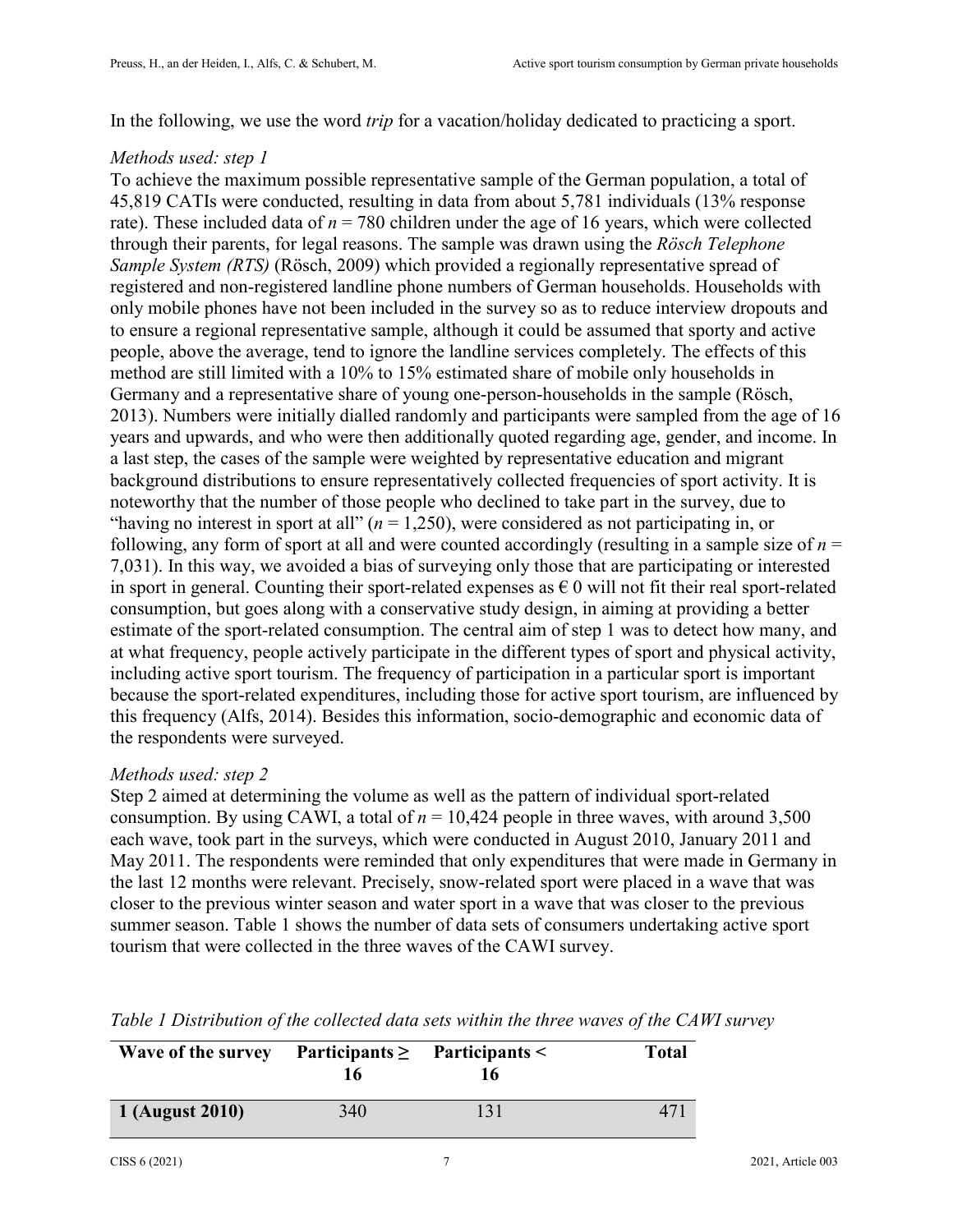In the following, we use the word *trip* for a vacation/holiday dedicated to practicing a sport.

## *Methods used: step 1*

To achieve the maximum possible representative sample of the German population, a total of 45,819 CATIs were conducted, resulting in data from about 5,781 individuals (13% response rate). These included data of  $n = 780$  children under the age of 16 years, which were collected through their parents, for legal reasons. The sample was drawn using the *Rösch Telephone Sample System (RTS)* (Rösch, 2009) which provided a regionally representative spread of registered and non-registered landline phone numbers of German households. Households with only mobile phones have not been included in the survey so as to reduce interview dropouts and to ensure a regional representative sample, although it could be assumed that sporty and active people, above the average, tend to ignore the landline services completely. The effects of this method are still limited with a 10% to 15% estimated share of mobile only households in Germany and a representative share of young one-person-households in the sample (Rösch, 2013). Numbers were initially dialled randomly and participants were sampled from the age of 16 years and upwards, and who were then additionally quoted regarding age, gender, and income. In a last step, the cases of the sample were weighted by representative education and migrant background distributions to ensure representatively collected frequencies of sport activity. It is noteworthy that the number of those people who declined to take part in the survey, due to "having no interest in sport at all"  $(n = 1,250)$ , were considered as not participating in, or following, any form of sport at all and were counted accordingly (resulting in a sample size of  $n =$ 7,031). In this way, we avoided a bias of surveying only those that are participating or interested in sport in general. Counting their sport-related expenses as  $\epsilon$  0 will not fit their real sport-related consumption, but goes along with a conservative study design, in aiming at providing a better estimate of the sport-related consumption. The central aim of step 1 was to detect how many, and at what frequency, people actively participate in the different types of sport and physical activity, including active sport tourism. The frequency of participation in a particular sport is important because the sport-related expenditures, including those for active sport tourism, are influenced by this frequency (Alfs, 2014). Besides this information, socio-demographic and economic data of the respondents were surveyed.

## *Methods used: step 2*

Step 2 aimed at determining the volume as well as the pattern of individual sport-related consumption. By using CAWI, a total of  $n = 10,424$  people in three waves, with around 3,500 each wave, took part in the surveys, which were conducted in August 2010, January 2011 and May 2011. The respondents were reminded that only expenditures that were made in Germany in the last 12 months were relevant. Precisely, snow-related sport were placed in a wave that was closer to the previous winter season and water sport in a wave that was closer to the previous summer season. Table 1 shows the number of data sets of consumers undertaking active sport tourism that were collected in the three waves of the CAWI survey.

| Wave of the survey | Participants $\geq$ Participants $\leq$<br>16 |     | <b>Total</b> |
|--------------------|-----------------------------------------------|-----|--------------|
| 1 (August 2010)    | 340                                           | 131 |              |

*Table 1 Distribution of the collected data sets within the three waves of the CAWI survey*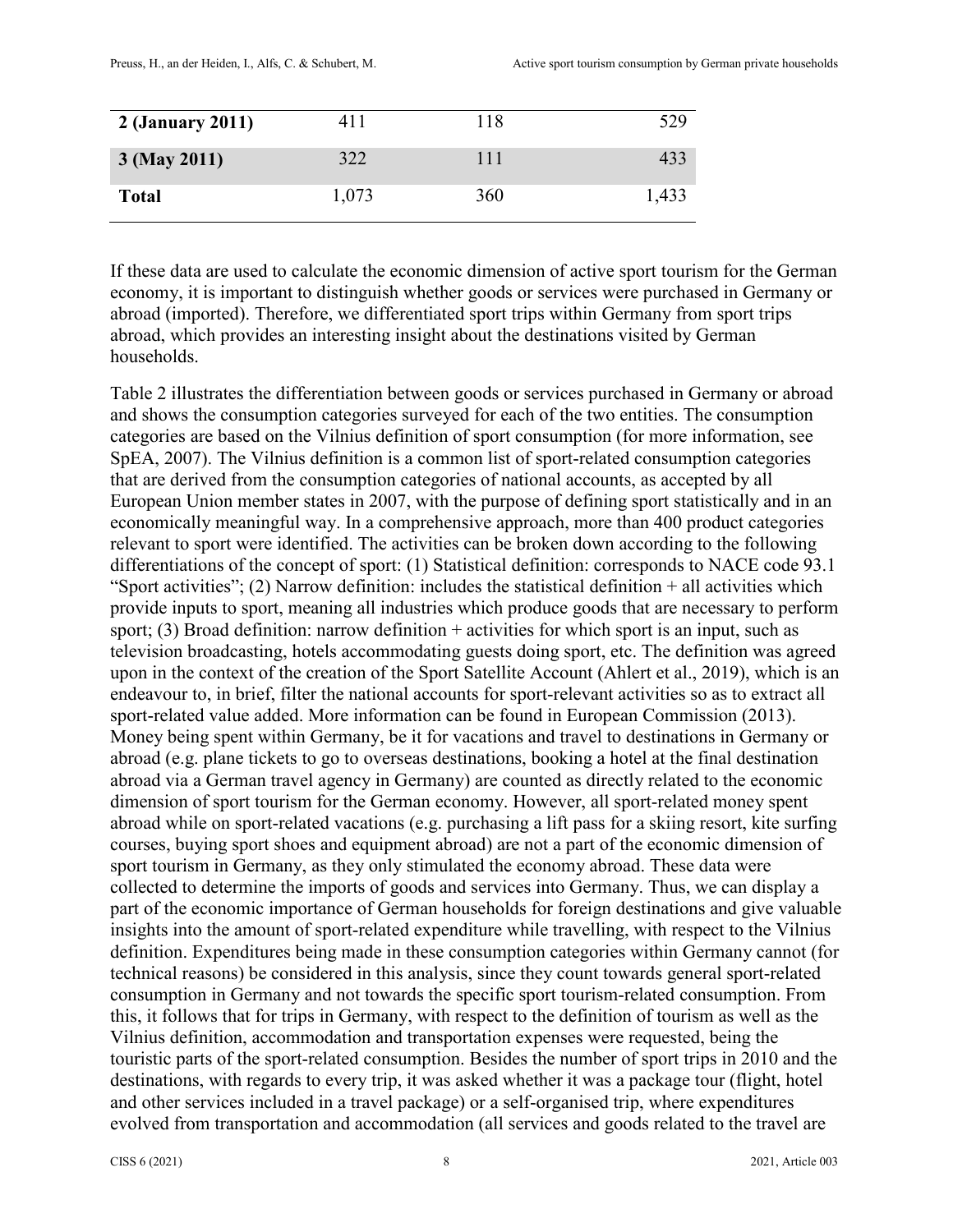| 2 (January 2011) | 411   | 118 | 529   |
|------------------|-------|-----|-------|
| $3$ (May 2011)   | 322   | 111 | 433   |
| <b>Total</b>     | 1,073 | 360 | 1,433 |

If these data are used to calculate the economic dimension of active sport tourism for the German economy, it is important to distinguish whether goods or services were purchased in Germany or abroad (imported). Therefore, we differentiated sport trips within Germany from sport trips abroad, which provides an interesting insight about the destinations visited by German households.

Table 2 illustrates the differentiation between goods or services purchased in Germany or abroad and shows the consumption categories surveyed for each of the two entities. The consumption categories are based on the Vilnius definition of sport consumption (for more information, see SpEA, 2007). The Vilnius definition is a common list of sport-related consumption categories that are derived from the consumption categories of national accounts, as accepted by all European Union member states in 2007, with the purpose of defining sport statistically and in an economically meaningful way. In a comprehensive approach, more than 400 product categories relevant to sport were identified. The activities can be broken down according to the following differentiations of the concept of sport: (1) Statistical definition: corresponds to NACE code 93.1 "Sport activities"; (2) Narrow definition: includes the statistical definition  $+$  all activities which provide inputs to sport, meaning all industries which produce goods that are necessary to perform sport; (3) Broad definition: narrow definition  $+$  activities for which sport is an input, such as television broadcasting, hotels accommodating guests doing sport, etc. The definition was agreed upon in the context of the creation of the Sport Satellite Account (Ahlert et al., 2019), which is an endeavour to, in brief, filter the national accounts for sport-relevant activities so as to extract all sport-related value added. More information can be found in European Commission (2013). Money being spent within Germany, be it for vacations and travel to destinations in Germany or abroad (e.g. plane tickets to go to overseas destinations, booking a hotel at the final destination abroad via a German travel agency in Germany) are counted as directly related to the economic dimension of sport tourism for the German economy. However, all sport-related money spent abroad while on sport-related vacations (e.g. purchasing a lift pass for a skiing resort, kite surfing courses, buying sport shoes and equipment abroad) are not a part of the economic dimension of sport tourism in Germany, as they only stimulated the economy abroad. These data were collected to determine the imports of goods and services into Germany. Thus, we can display a part of the economic importance of German households for foreign destinations and give valuable insights into the amount of sport-related expenditure while travelling, with respect to the Vilnius definition. Expenditures being made in these consumption categories within Germany cannot (for technical reasons) be considered in this analysis, since they count towards general sport-related consumption in Germany and not towards the specific sport tourism-related consumption. From this, it follows that for trips in Germany, with respect to the definition of tourism as well as the Vilnius definition, accommodation and transportation expenses were requested, being the touristic parts of the sport-related consumption. Besides the number of sport trips in 2010 and the destinations, with regards to every trip, it was asked whether it was a package tour (flight, hotel and other services included in a travel package) or a self-organised trip, where expenditures evolved from transportation and accommodation (all services and goods related to the travel are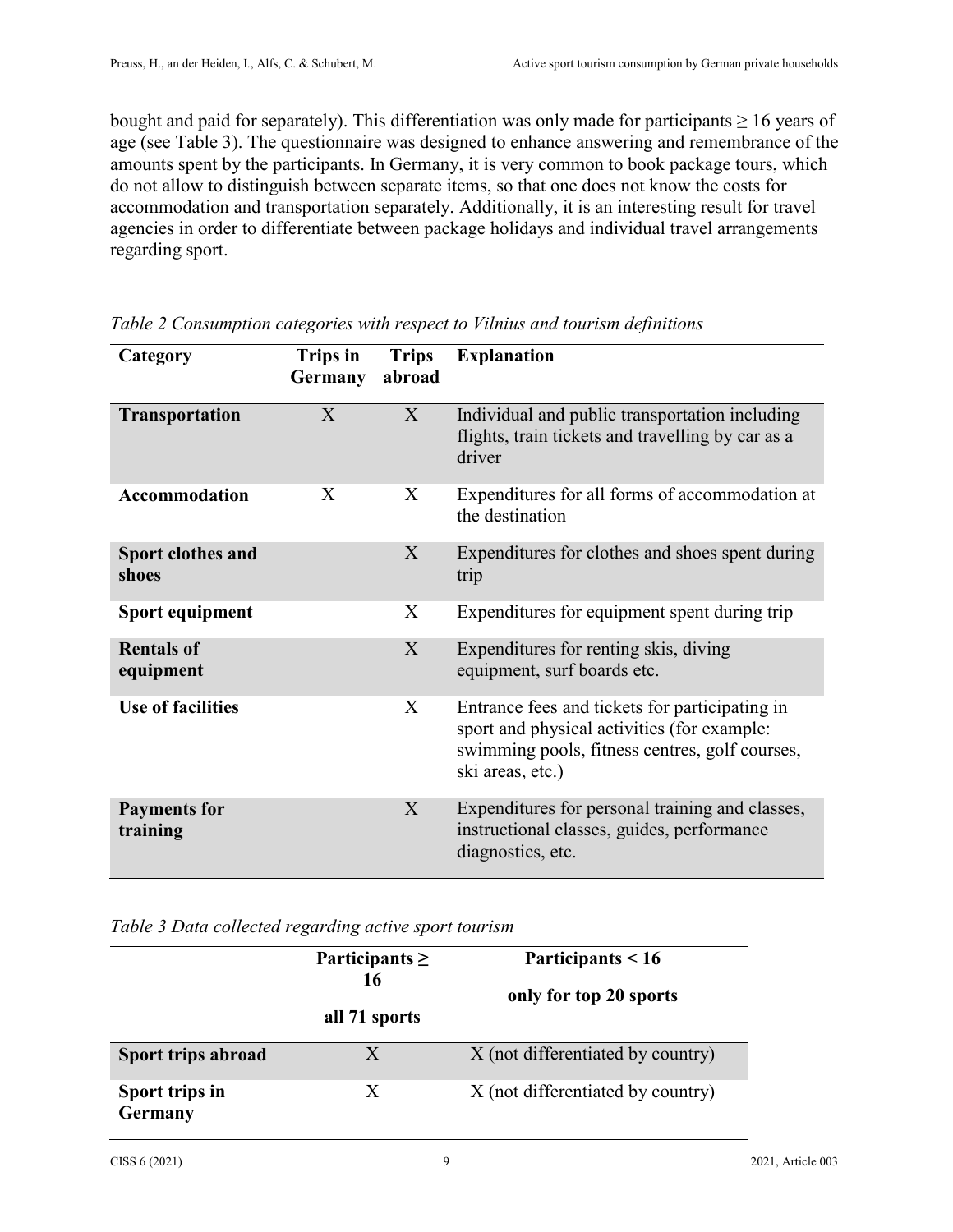bought and paid for separately). This differentiation was only made for participants  $\geq 16$  years of age (see Table 3). The questionnaire was designed to enhance answering and remembrance of the amounts spent by the participants. In Germany, it is very common to book package tours, which do not allow to distinguish between separate items, so that one does not know the costs for accommodation and transportation separately. Additionally, it is an interesting result for travel agencies in order to differentiate between package holidays and individual travel arrangements regarding sport.

| Category                        | <b>Trips in</b><br>Germany | <b>Trips</b><br>abroad | <b>Explanation</b>                                                                                                                                                  |
|---------------------------------|----------------------------|------------------------|---------------------------------------------------------------------------------------------------------------------------------------------------------------------|
|                                 |                            |                        |                                                                                                                                                                     |
| Transportation                  | X                          | X                      | Individual and public transportation including<br>flights, train tickets and travelling by car as a<br>driver                                                       |
| <b>Accommodation</b>            | X                          | X                      | Expenditures for all forms of accommodation at<br>the destination                                                                                                   |
| Sport clothes and<br>shoes      |                            | X                      | Expenditures for clothes and shoes spent during<br>trip                                                                                                             |
| Sport equipment                 |                            | X                      | Expenditures for equipment spent during trip                                                                                                                        |
| <b>Rentals of</b><br>equipment  |                            | X                      | Expenditures for renting skis, diving<br>equipment, surf boards etc.                                                                                                |
| <b>Use of facilities</b>        |                            | X                      | Entrance fees and tickets for participating in<br>sport and physical activities (for example:<br>swimming pools, fitness centres, golf courses,<br>ski areas, etc.) |
| <b>Payments for</b><br>training |                            | X                      | Expenditures for personal training and classes,<br>instructional classes, guides, performance<br>diagnostics, etc.                                                  |

*Table 2 Consumption categories with respect to Vilnius and tourism definitions* 

*Table 3 Data collected regarding active sport tourism* 

|                           | Participants $\geq$<br>16 | Participants $< 16$<br>only for top 20 sports |
|---------------------------|---------------------------|-----------------------------------------------|
|                           | all 71 sports             |                                               |
| <b>Sport trips abroad</b> | X                         | X (not differentiated by country)             |
| Sport trips in<br>Germany | X                         | X (not differentiated by country)             |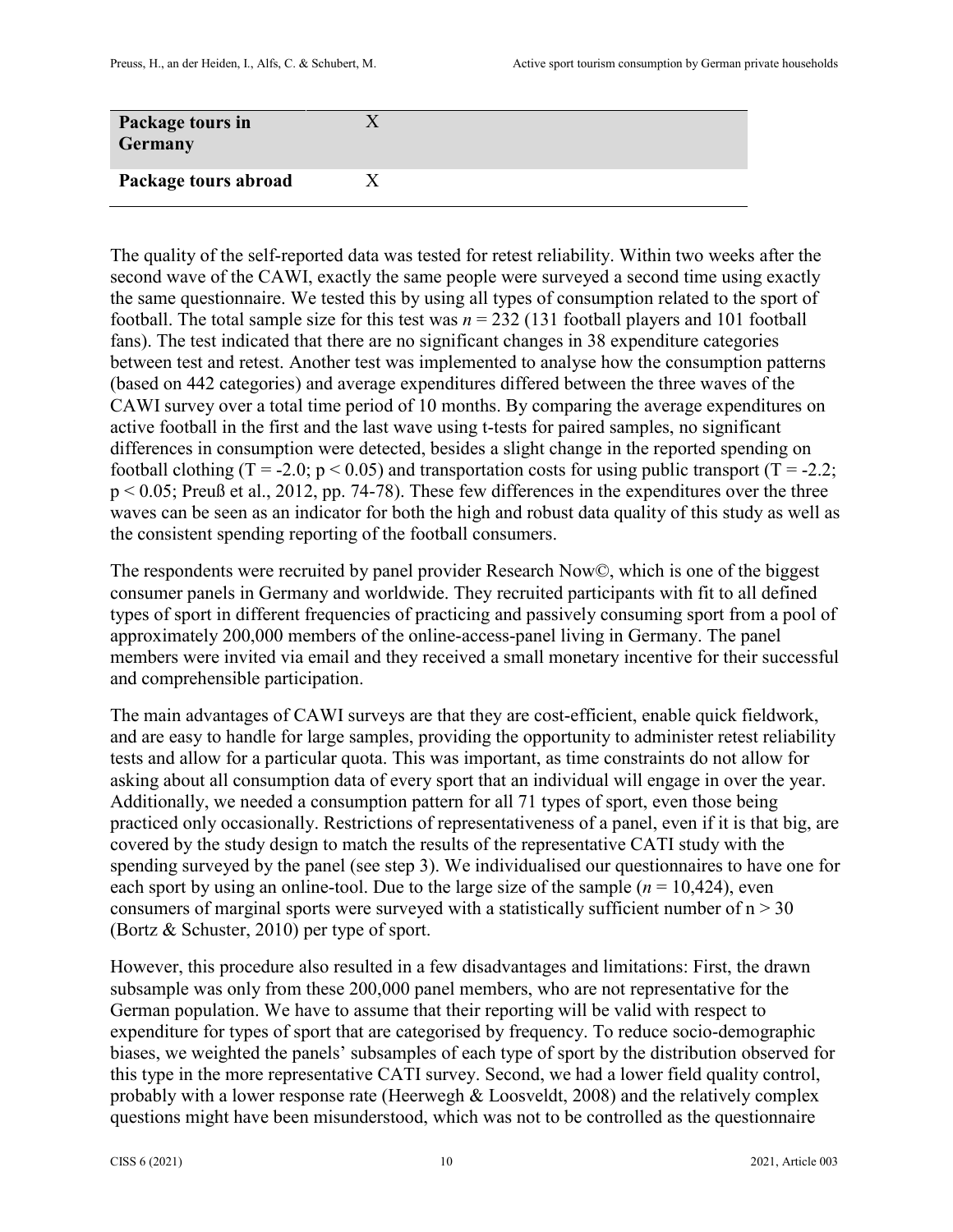| Package tours in<br>Germany |  |
|-----------------------------|--|
| Package tours abroad        |  |

The quality of the self-reported data was tested for retest reliability. Within two weeks after the second wave of the CAWI, exactly the same people were surveyed a second time using exactly the same questionnaire. We tested this by using all types of consumption related to the sport of football. The total sample size for this test was  $n = 232$  (131 football players and 101 football fans). The test indicated that there are no significant changes in 38 expenditure categories between test and retest. Another test was implemented to analyse how the consumption patterns (based on 442 categories) and average expenditures differed between the three waves of the CAWI survey over a total time period of 10 months. By comparing the average expenditures on active football in the first and the last wave using t-tests for paired samples, no significant differences in consumption were detected, besides a slight change in the reported spending on football clothing (T = -2.0;  $p < 0.05$ ) and transportation costs for using public transport (T = -2.2; p < 0.05; Preuß et al., 2012, pp. 74-78). These few differences in the expenditures over the three waves can be seen as an indicator for both the high and robust data quality of this study as well as the consistent spending reporting of the football consumers.

The respondents were recruited by panel provider Research Now©, which is one of the biggest consumer panels in Germany and worldwide. They recruited participants with fit to all defined types of sport in different frequencies of practicing and passively consuming sport from a pool of approximately 200,000 members of the online-access-panel living in Germany. The panel members were invited via email and they received a small monetary incentive for their successful and comprehensible participation.

The main advantages of CAWI surveys are that they are cost-efficient, enable quick fieldwork, and are easy to handle for large samples, providing the opportunity to administer retest reliability tests and allow for a particular quota. This was important, as time constraints do not allow for asking about all consumption data of every sport that an individual will engage in over the year. Additionally, we needed a consumption pattern for all 71 types of sport, even those being practiced only occasionally. Restrictions of representativeness of a panel, even if it is that big, are covered by the study design to match the results of the representative CATI study with the spending surveyed by the panel (see step 3). We individualised our questionnaires to have one for each sport by using an online-tool. Due to the large size of the sample  $(n = 10, 424)$ , even consumers of marginal sports were surveyed with a statistically sufficient number of  $n > 30$ (Bortz & Schuster, 2010) per type of sport.

However, this procedure also resulted in a few disadvantages and limitations: First, the drawn subsample was only from these 200,000 panel members, who are not representative for the German population. We have to assume that their reporting will be valid with respect to expenditure for types of sport that are categorised by frequency. To reduce socio-demographic biases, we weighted the panels' subsamples of each type of sport by the distribution observed for this type in the more representative CATI survey. Second, we had a lower field quality control, probably with a lower response rate (Heerwegh & Loosveldt, 2008) and the relatively complex questions might have been misunderstood, which was not to be controlled as the questionnaire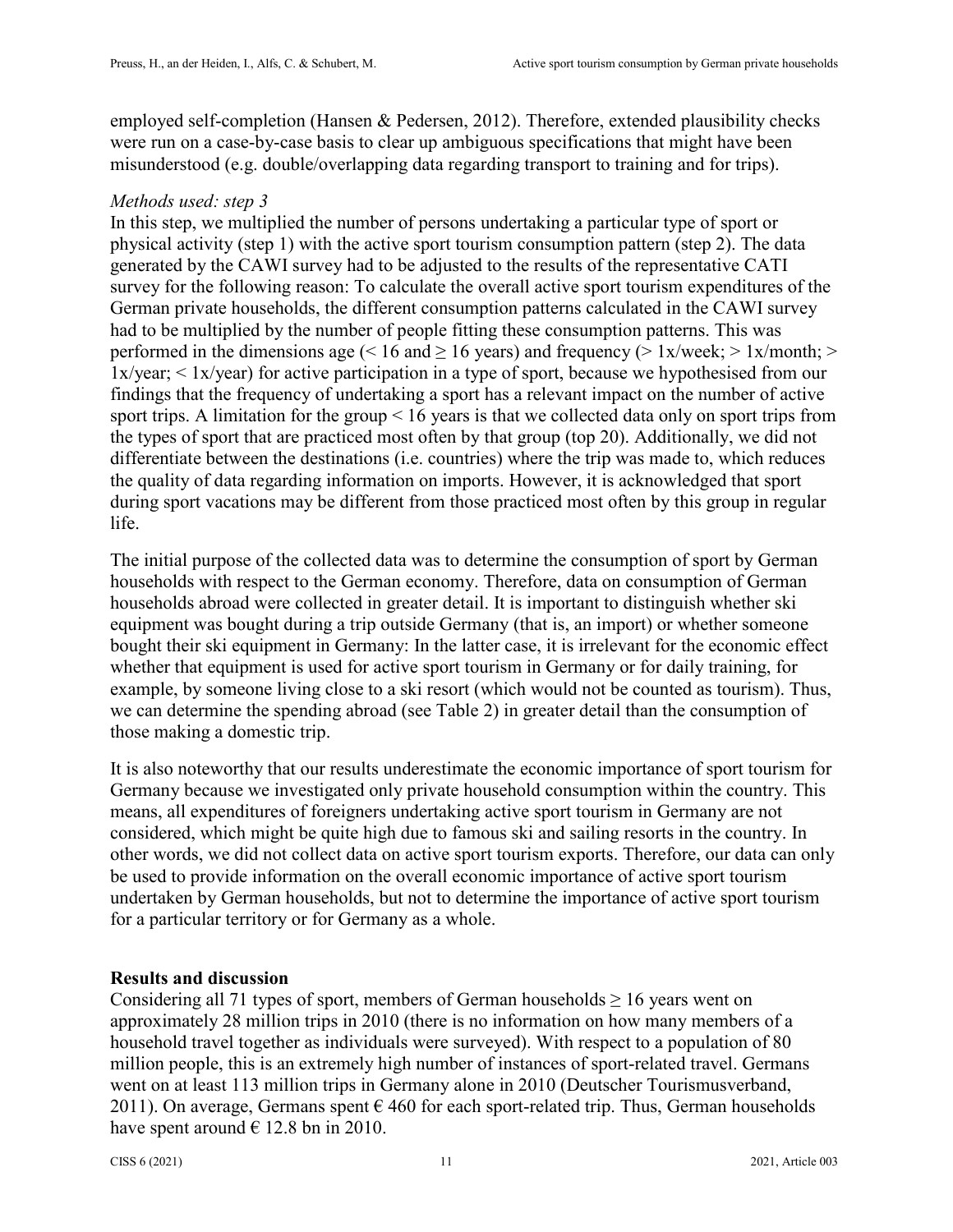employed self-completion (Hansen & Pedersen, 2012). Therefore, extended plausibility checks were run on a case-by-case basis to clear up ambiguous specifications that might have been misunderstood (e.g. double/overlapping data regarding transport to training and for trips).

## *Methods used: step 3*

In this step, we multiplied the number of persons undertaking a particular type of sport or physical activity (step 1) with the active sport tourism consumption pattern (step 2). The data generated by the CAWI survey had to be adjusted to the results of the representative CATI survey for the following reason: To calculate the overall active sport tourism expenditures of the German private households, the different consumption patterns calculated in the CAWI survey had to be multiplied by the number of people fitting these consumption patterns. This was performed in the dimensions age (< 16 and  $\geq$  16 years) and frequency (> 1x/week; > 1x/month; > 1x/year; < 1x/year) for active participation in a type of sport, because we hypothesised from our findings that the frequency of undertaking a sport has a relevant impact on the number of active sport trips. A limitation for the group < 16 years is that we collected data only on sport trips from the types of sport that are practiced most often by that group (top 20). Additionally, we did not differentiate between the destinations (i.e. countries) where the trip was made to, which reduces the quality of data regarding information on imports. However, it is acknowledged that sport during sport vacations may be different from those practiced most often by this group in regular life.

The initial purpose of the collected data was to determine the consumption of sport by German households with respect to the German economy. Therefore, data on consumption of German households abroad were collected in greater detail. It is important to distinguish whether ski equipment was bought during a trip outside Germany (that is, an import) or whether someone bought their ski equipment in Germany: In the latter case, it is irrelevant for the economic effect whether that equipment is used for active sport tourism in Germany or for daily training, for example, by someone living close to a ski resort (which would not be counted as tourism). Thus, we can determine the spending abroad (see Table 2) in greater detail than the consumption of those making a domestic trip.

It is also noteworthy that our results underestimate the economic importance of sport tourism for Germany because we investigated only private household consumption within the country. This means, all expenditures of foreigners undertaking active sport tourism in Germany are not considered, which might be quite high due to famous ski and sailing resorts in the country. In other words, we did not collect data on active sport tourism exports. Therefore, our data can only be used to provide information on the overall economic importance of active sport tourism undertaken by German households, but not to determine the importance of active sport tourism for a particular territory or for Germany as a whole.

## **Results and discussion**

Considering all 71 types of sport, members of German households  $\geq 16$  years went on approximately 28 million trips in 2010 (there is no information on how many members of a household travel together as individuals were surveyed). With respect to a population of 80 million people, this is an extremely high number of instances of sport-related travel. Germans went on at least 113 million trips in Germany alone in 2010 (Deutscher Tourismusverband, 2011). On average, Germans spent  $\epsilon$  460 for each sport-related trip. Thus, German households have spent around  $\in$  12.8 bn in 2010.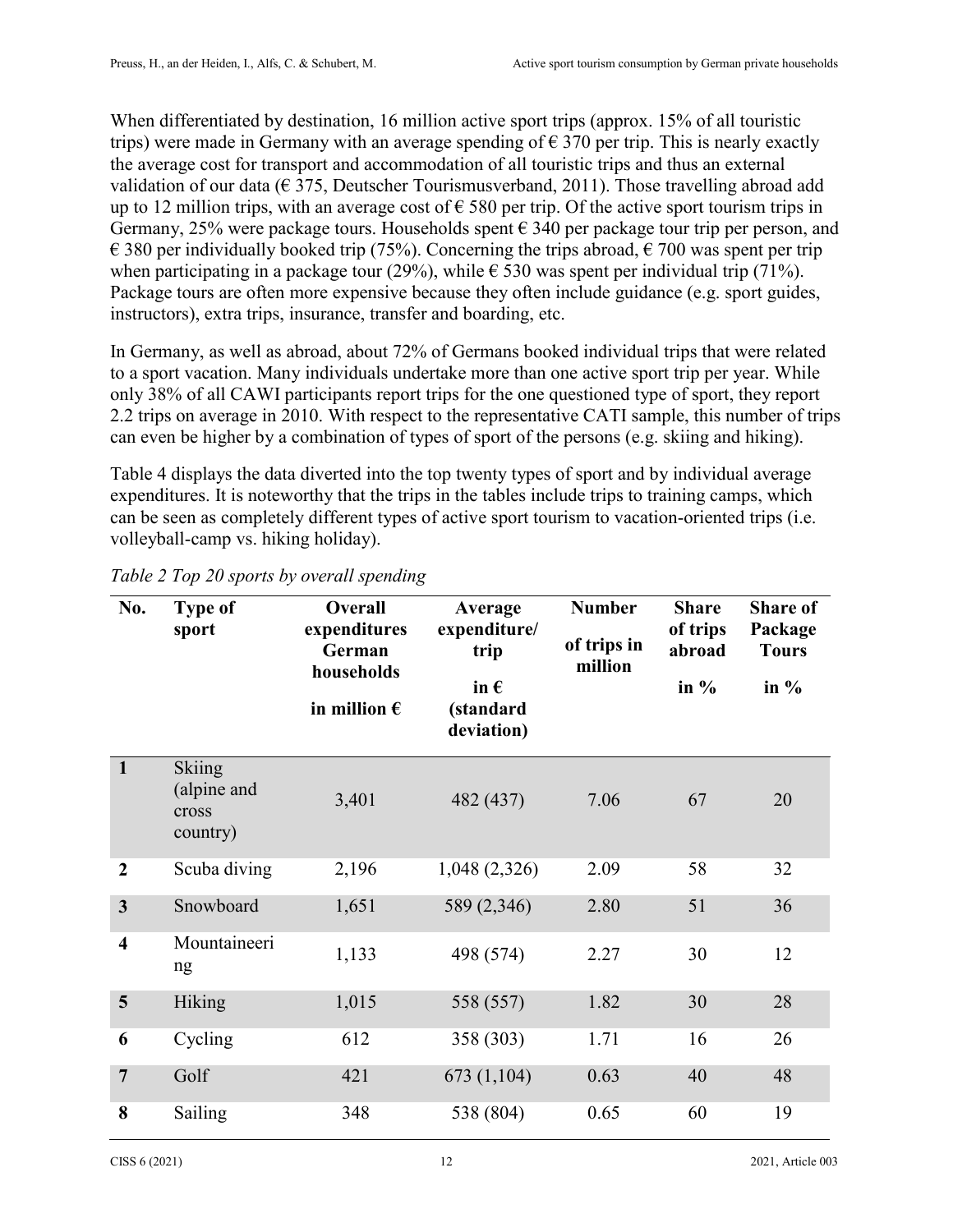When differentiated by destination, 16 million active sport trips (approx. 15% of all touristic trips) were made in Germany with an average spending of  $\epsilon$  370 per trip. This is nearly exactly the average cost for transport and accommodation of all touristic trips and thus an external validation of our data ( $\epsilon$  375, Deutscher Tourismusverband, 2011). Those travelling abroad add up to 12 million trips, with an average cost of  $\epsilon$  580 per trip. Of the active sport tourism trips in Germany, 25% were package tours. Households spent  $\epsilon$  340 per package tour trip per person, and € 380 per individually booked trip (75%). Concerning the trips abroad,  $∈$  700 was spent per trip when participating in a package tour (29%), while  $\epsilon$  530 was spent per individual trip (71%). Package tours are often more expensive because they often include guidance (e.g. sport guides, instructors), extra trips, insurance, transfer and boarding, etc.

In Germany, as well as abroad, about 72% of Germans booked individual trips that were related to a sport vacation. Many individuals undertake more than one active sport trip per year. While only 38% of all CAWI participants report trips for the one questioned type of sport, they report 2.2 trips on average in 2010. With respect to the representative CATI sample, this number of trips can even be higher by a combination of types of sport of the persons (e.g. skiing and hiking).

Table 4 displays the data diverted into the top twenty types of sport and by individual average expenditures. It is noteworthy that the trips in the tables include trips to training camps, which can be seen as completely different types of active sport tourism to vacation-oriented trips (i.e. volleyball-camp vs. hiking holiday).

| No.                     | <b>Type of</b><br>sport                    | Overall<br>expenditures<br>German<br>households<br>in million $\epsilon$ | Average<br>expenditure/<br>trip<br>in $\epsilon$<br>(standard<br>deviation) | <b>Number</b><br>of trips in<br>million |    | <b>Share of</b><br>Package<br><b>Tours</b><br>in $\%$ |
|-------------------------|--------------------------------------------|--------------------------------------------------------------------------|-----------------------------------------------------------------------------|-----------------------------------------|----|-------------------------------------------------------|
| $\mathbf{1}$            | Skiing<br>(alpine and<br>cross<br>country) | 3,401                                                                    | 482 (437)                                                                   | 7.06                                    | 67 | 20                                                    |
| $\overline{2}$          | Scuba diving                               | 2,196                                                                    | 1,048 (2,326)                                                               | 2.09                                    | 58 | 32                                                    |
| $\overline{\mathbf{3}}$ | Snowboard                                  | 1,651                                                                    | 589 (2,346)                                                                 | 2.80                                    | 51 | 36                                                    |
| $\overline{\mathbf{4}}$ | Mountaineeri<br>ng                         | 1,133                                                                    | 498 (574)                                                                   | 2.27                                    | 30 | 12                                                    |
| 5                       | Hiking                                     | 1,015                                                                    | 558 (557)                                                                   | 1.82                                    | 30 | 28                                                    |
| 6                       | Cycling                                    | 612                                                                      | 358 (303)                                                                   | 1.71                                    | 16 | 26                                                    |
| $\overline{7}$          | Golf                                       | 421                                                                      | 673(1,104)                                                                  | 0.63                                    | 40 | 48                                                    |
| 8                       | Sailing                                    | 348                                                                      | 538 (804)                                                                   | 0.65                                    | 60 | 19                                                    |

*Table 2 Top 20 sports by overall spending*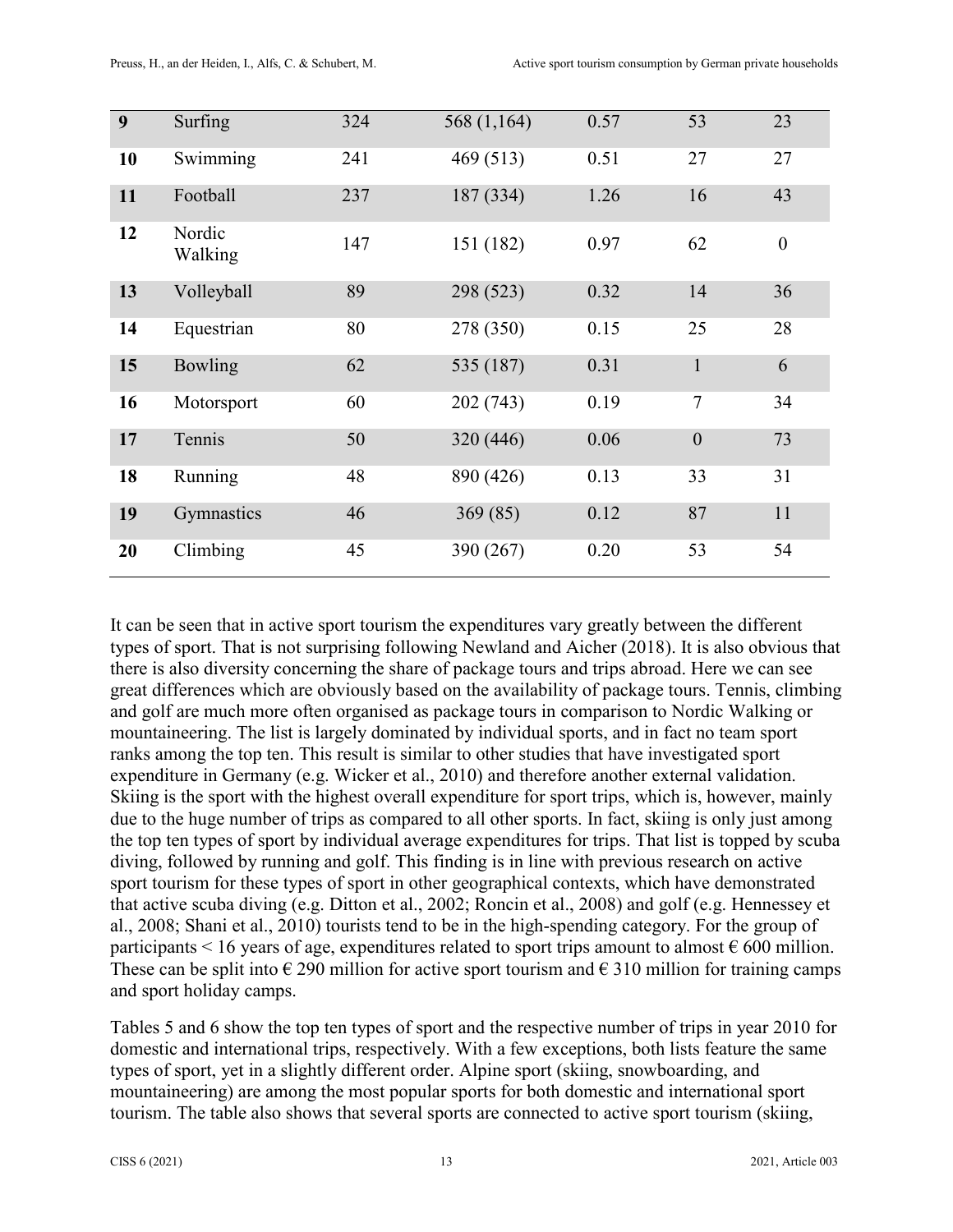| 9  | Surfing           | 324 | 568 (1,164) | 0.57 | 53             | 23               |
|----|-------------------|-----|-------------|------|----------------|------------------|
| 10 | Swimming          | 241 | 469 (513)   | 0.51 | 27             | 27               |
| 11 | Football          | 237 | 187 (334)   | 1.26 | 16             | 43               |
| 12 | Nordic<br>Walking | 147 | 151 (182)   | 0.97 | 62             | $\boldsymbol{0}$ |
| 13 | Volleyball        | 89  | 298 (523)   | 0.32 | 14             | 36               |
| 14 | Equestrian        | 80  | 278 (350)   | 0.15 | 25             | 28               |
| 15 | Bowling           | 62  | 535 (187)   | 0.31 | $\mathbf{1}$   | 6                |
| 16 | Motorsport        | 60  | 202 (743)   | 0.19 | $\tau$         | 34               |
| 17 | Tennis            | 50  | 320 (446)   | 0.06 | $\overline{0}$ | 73               |
| 18 | Running           | 48  | 890 (426)   | 0.13 | 33             | 31               |
| 19 | Gymnastics        | 46  | 369(85)     | 0.12 | 87             | 11               |
| 20 | Climbing          | 45  | 390 (267)   | 0.20 | 53             | 54               |

It can be seen that in active sport tourism the expenditures vary greatly between the different types of sport. That is not surprising following Newland and Aicher (2018). It is also obvious that there is also diversity concerning the share of package tours and trips abroad. Here we can see great differences which are obviously based on the availability of package tours. Tennis, climbing and golf are much more often organised as package tours in comparison to Nordic Walking or mountaineering. The list is largely dominated by individual sports, and in fact no team sport ranks among the top ten. This result is similar to other studies that have investigated sport expenditure in Germany (e.g. Wicker et al., 2010) and therefore another external validation. Skiing is the sport with the highest overall expenditure for sport trips, which is, however, mainly due to the huge number of trips as compared to all other sports. In fact, skiing is only just among the top ten types of sport by individual average expenditures for trips. That list is topped by scuba diving, followed by running and golf. This finding is in line with previous research on active sport tourism for these types of sport in other geographical contexts, which have demonstrated that active scuba diving (e.g. Ditton et al., 2002; Roncin et al., 2008) and golf (e.g. Hennessey et al., 2008; Shani et al., 2010) tourists tend to be in the high-spending category. For the group of participants < 16 years of age, expenditures related to sport trips amount to almost  $\epsilon$  600 million. These can be split into  $\epsilon$  290 million for active sport tourism and  $\epsilon$  310 million for training camps and sport holiday camps.

Tables 5 and 6 show the top ten types of sport and the respective number of trips in year 2010 for domestic and international trips, respectively. With a few exceptions, both lists feature the same types of sport, yet in a slightly different order. Alpine sport (skiing, snowboarding, and mountaineering) are among the most popular sports for both domestic and international sport tourism. The table also shows that several sports are connected to active sport tourism (skiing,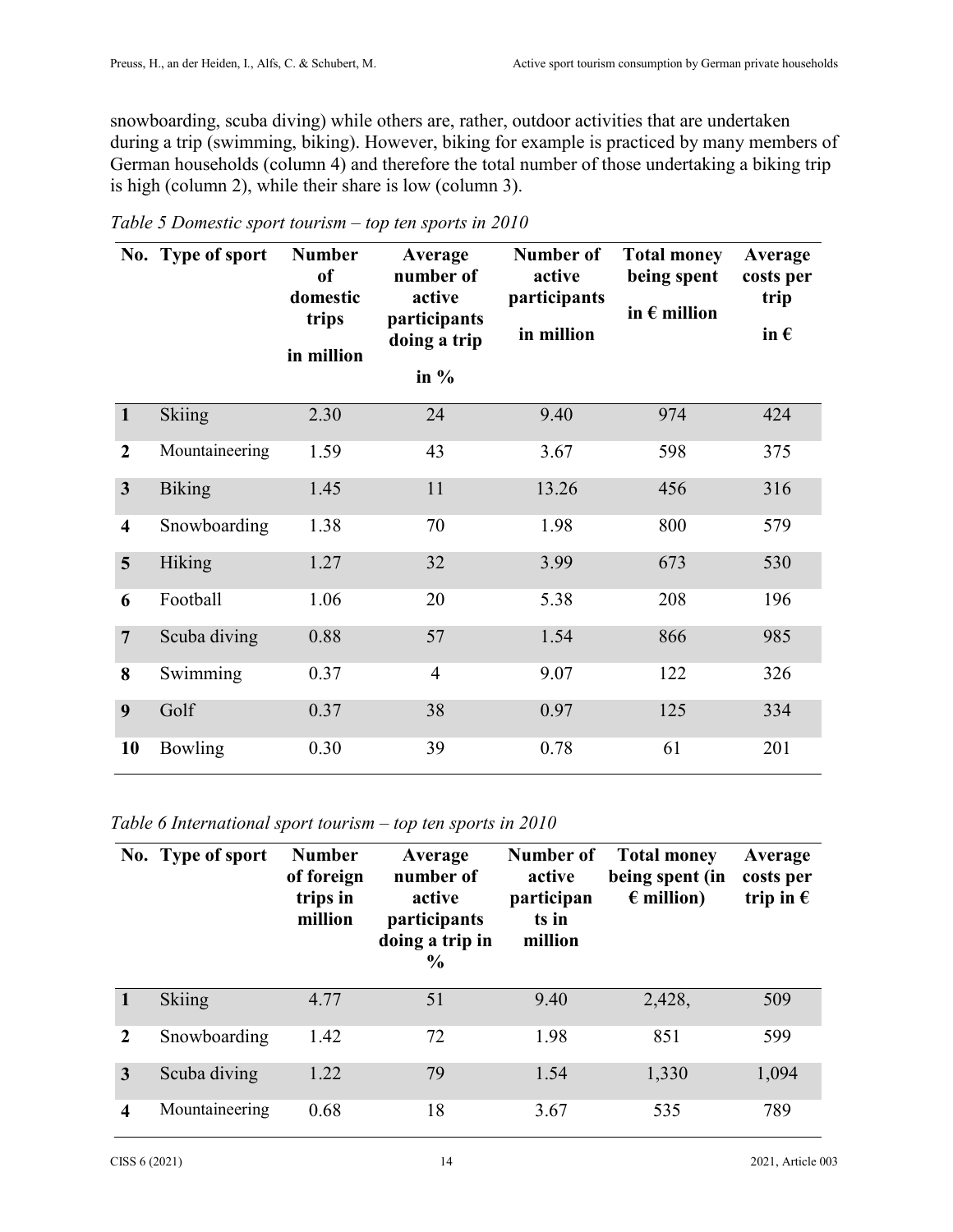snowboarding, scuba diving) while others are, rather, outdoor activities that are undertaken during a trip (swimming, biking). However, biking for example is practiced by many members of German households (column 4) and therefore the total number of those undertaking a biking trip is high (column 2), while their share is low (column 3).

|                         | No. Type of sport | <b>Number</b><br><sub>of</sub><br>domestic<br>trips<br>in million | Average<br>number of<br>active<br>participants<br>doing a trip<br>in $%$ | Number of<br>active<br>participants<br>in million | <b>Total money</b><br>being spent<br>in $\epsilon$ million | Average<br>costs per<br>trip<br>in $\epsilon$ |
|-------------------------|-------------------|-------------------------------------------------------------------|--------------------------------------------------------------------------|---------------------------------------------------|------------------------------------------------------------|-----------------------------------------------|
| $\mathbf{1}$            | Skiing            | 2.30                                                              | 24                                                                       | 9.40                                              | 974                                                        | 424                                           |
| $\boldsymbol{2}$        | Mountaineering    | 1.59                                                              | 43                                                                       | 3.67                                              | 598                                                        | 375                                           |
| $\overline{\mathbf{3}}$ | <b>Biking</b>     | 1.45                                                              | 11                                                                       | 13.26                                             | 456                                                        | 316                                           |
| $\overline{\mathbf{4}}$ | Snowboarding      | 1.38                                                              | 70                                                                       | 1.98                                              | 800                                                        | 579                                           |
| 5                       | Hiking            | 1.27                                                              | 32                                                                       | 3.99                                              | 673                                                        | 530                                           |
| 6                       | Football          | 1.06                                                              | 20                                                                       | 5.38                                              | 208                                                        | 196                                           |
| $\overline{7}$          | Scuba diving      | 0.88                                                              | 57                                                                       | 1.54                                              | 866                                                        | 985                                           |
| 8                       | Swimming          | 0.37                                                              | $\overline{4}$                                                           | 9.07                                              | 122                                                        | 326                                           |
| 9                       | Golf              | 0.37                                                              | 38                                                                       | 0.97                                              | 125                                                        | 334                                           |
| 10                      | Bowling           | 0.30                                                              | 39                                                                       | 0.78                                              | 61                                                         | 201                                           |

*Table 5 Domestic sport tourism – top ten sports in 2010* 

*Table 6 International sport tourism – top ten sports in 2010* 

|   | No. Type of sport | <b>Number</b><br>of foreign<br>trips in<br>million | Average<br>number of<br>active<br>participants<br>doing a trip in<br>$\frac{6}{9}$ | Number of<br>active<br>participan<br>ts in<br>million | <b>Total money</b><br>being spent (in<br>$\epsilon$ million) | Average<br>costs per<br>trip in $\epsilon$ |
|---|-------------------|----------------------------------------------------|------------------------------------------------------------------------------------|-------------------------------------------------------|--------------------------------------------------------------|--------------------------------------------|
|   | Skiing            | 4.77                                               | 51                                                                                 | 9.40                                                  | 2,428,                                                       | 509                                        |
| 2 | Snowboarding      | 1.42                                               | 72                                                                                 | 1.98                                                  | 851                                                          | 599                                        |
| 3 | Scuba diving      | 1.22                                               | 79                                                                                 | 1.54                                                  | 1,330                                                        | 1,094                                      |
| 4 | Mountaineering    | 0.68                                               | 18                                                                                 | 3.67                                                  | 535                                                          | 789                                        |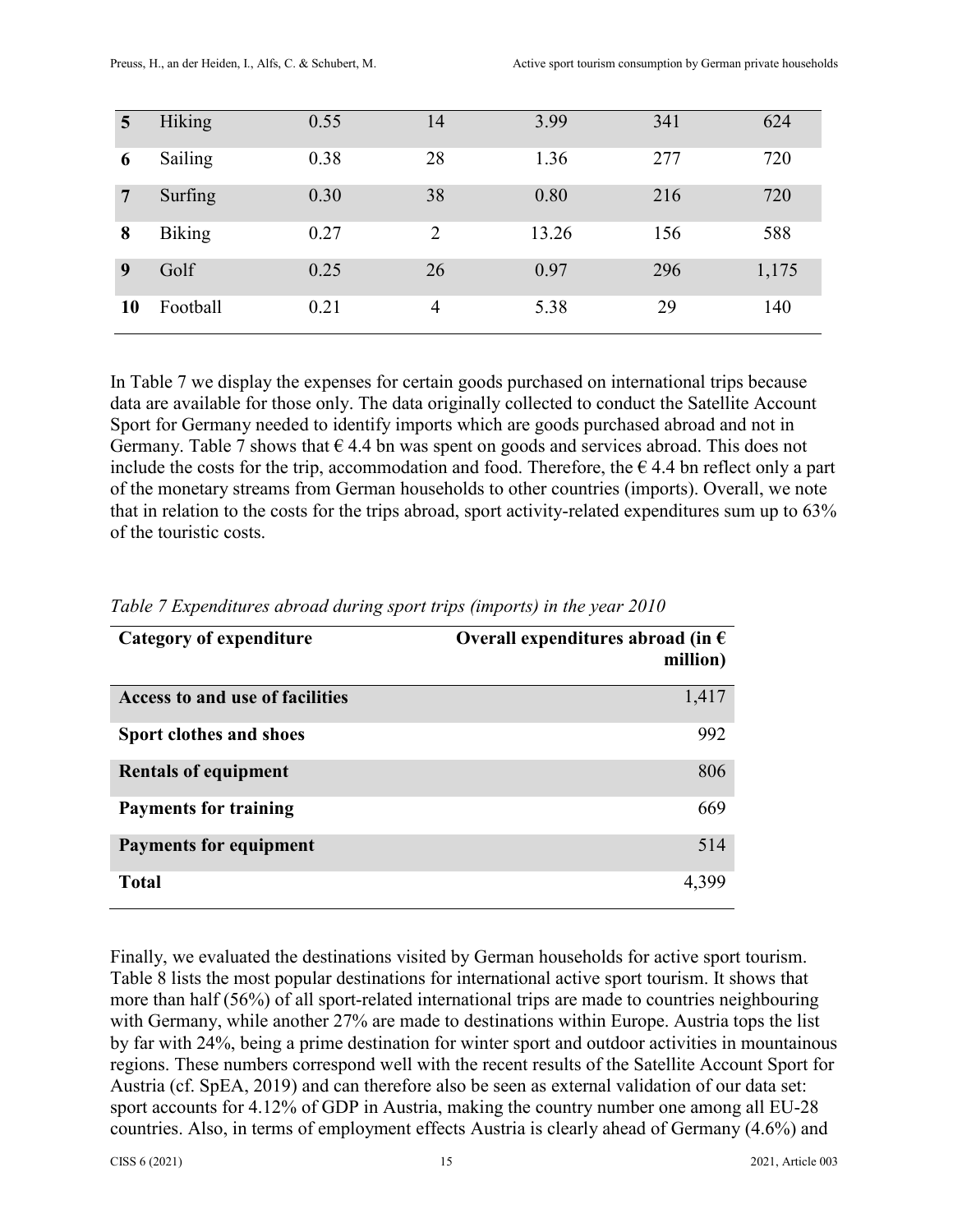| 5  | Hiking        | 0.55 | 14             | 3.99  | 341 | 624   |
|----|---------------|------|----------------|-------|-----|-------|
| 6  | Sailing       | 0.38 | 28             | 1.36  | 277 | 720   |
| 7  | Surfing       | 0.30 | 38             | 0.80  | 216 | 720   |
| 8  | <b>Biking</b> | 0.27 | $\overline{2}$ | 13.26 | 156 | 588   |
| 9  | Golf          | 0.25 | 26             | 0.97  | 296 | 1,175 |
| 10 | Football      | 0.21 | 4              | 5.38  | 29  | 140   |

In Table 7 we display the expenses for certain goods purchased on international trips because data are available for those only. The data originally collected to conduct the Satellite Account Sport for Germany needed to identify imports which are goods purchased abroad and not in Germany. Table 7 shows that  $\epsilon$  4.4 bn was spent on goods and services abroad. This does not include the costs for the trip, accommodation and food. Therefore, the  $\epsilon$  4.4 bn reflect only a part of the monetary streams from German households to other countries (imports). Overall, we note that in relation to the costs for the trips abroad, sport activity-related expenditures sum up to 63% of the touristic costs.

| Category of expenditure         | Overall expenditures abroad (in $\epsilon$<br>million) |
|---------------------------------|--------------------------------------------------------|
| Access to and use of facilities | 1,417                                                  |
| Sport clothes and shoes         | 992                                                    |
| <b>Rentals of equipment</b>     | 806                                                    |
| <b>Payments for training</b>    | 669                                                    |
| <b>Payments for equipment</b>   | 514                                                    |
| <b>Total</b>                    | 4,399                                                  |

| Table 7 Expenditures abroad during sport trips (imports) in the year 2010 |  |  |  |
|---------------------------------------------------------------------------|--|--|--|
|                                                                           |  |  |  |

Finally, we evaluated the destinations visited by German households for active sport tourism. Table 8 lists the most popular destinations for international active sport tourism. It shows that more than half (56%) of all sport-related international trips are made to countries neighbouring with Germany, while another 27% are made to destinations within Europe. Austria tops the list by far with 24%, being a prime destination for winter sport and outdoor activities in mountainous regions. These numbers correspond well with the recent results of the Satellite Account Sport for Austria (cf. SpEA, 2019) and can therefore also be seen as external validation of our data set: sport accounts for 4.12% of GDP in Austria, making the country number one among all EU-28 countries. Also, in terms of employment effects Austria is clearly ahead of Germany (4.6%) and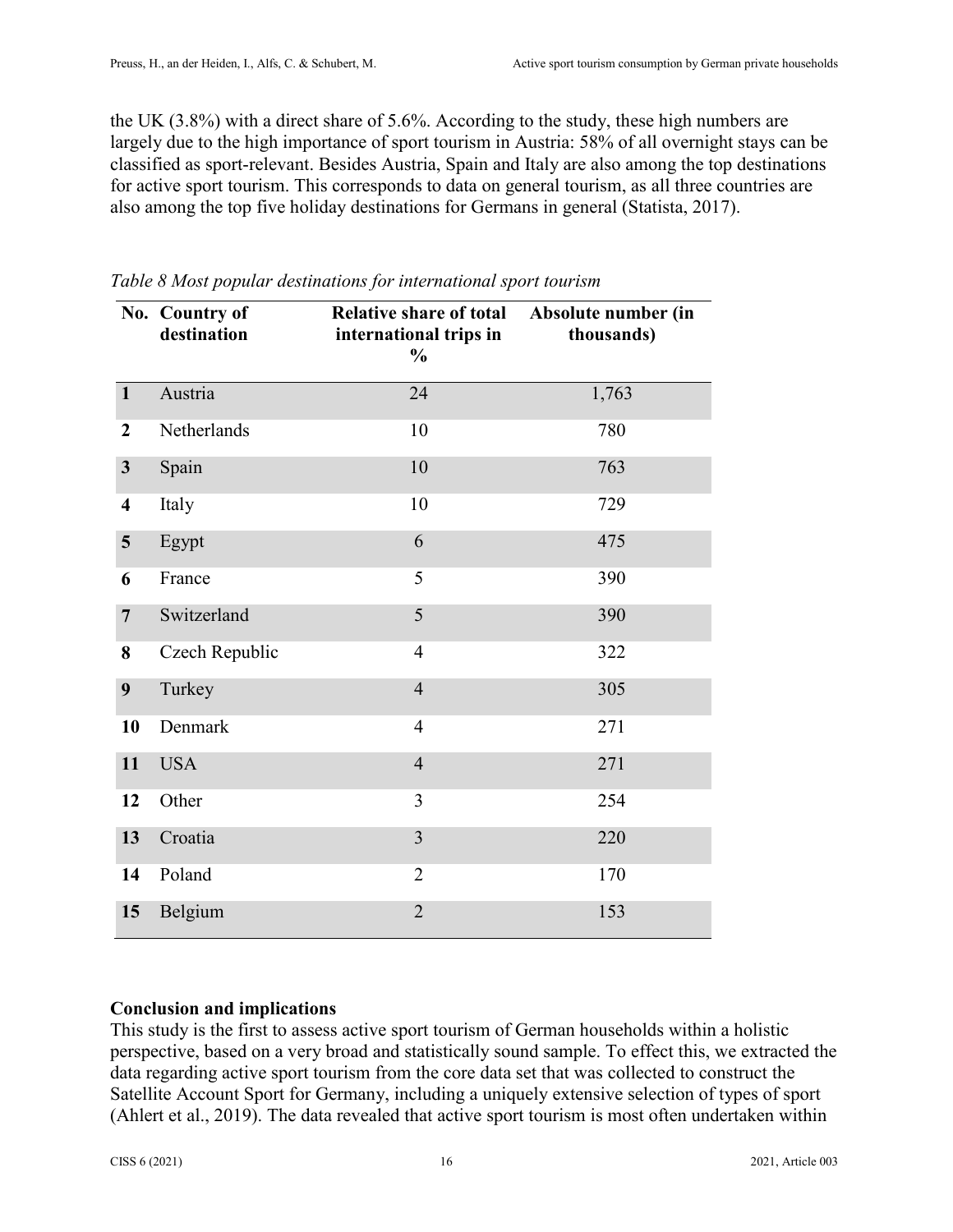the UK (3.8%) with a direct share of 5.6%. According to the study, these high numbers are largely due to the high importance of sport tourism in Austria: 58% of all overnight stays can be classified as sport-relevant. Besides Austria, Spain and Italy are also among the top destinations for active sport tourism. This corresponds to data on general tourism, as all three countries are also among the top five holiday destinations for Germans in general (Statista, 2017).

|                         | No. Country of<br>destination | <b>Relative share of total</b><br>international trips in<br>$\frac{0}{0}$ | Absolute number (in<br>thousands) |
|-------------------------|-------------------------------|---------------------------------------------------------------------------|-----------------------------------|
| $\mathbf{1}$            | Austria                       | 24                                                                        | 1,763                             |
| $\overline{2}$          | Netherlands                   | 10                                                                        | 780                               |
| $\mathbf{3}$            | Spain                         | 10                                                                        | 763                               |
| $\overline{\mathbf{4}}$ | Italy                         | 10                                                                        | 729                               |
| $\overline{\mathbf{5}}$ | Egypt                         | 6                                                                         | 475                               |
| 6                       | France                        | 5                                                                         | 390                               |
| $\overline{7}$          | Switzerland                   | 5                                                                         | 390                               |
| 8                       | Czech Republic                | $\overline{4}$                                                            | 322                               |
| 9                       | Turkey                        | $\overline{4}$                                                            | 305                               |
| 10                      | Denmark                       | $\overline{4}$                                                            | 271                               |
| 11                      | <b>USA</b>                    | $\overline{4}$                                                            | 271                               |
| 12                      | Other                         | 3                                                                         | 254                               |
| 13                      | Croatia                       | $\overline{3}$                                                            | 220                               |
| 14                      | Poland                        | $\overline{2}$                                                            | 170                               |
| 15                      | Belgium                       | $\overline{2}$                                                            | 153                               |

*Table 8 Most popular destinations for international sport tourism* 

#### **Conclusion and implications**

This study is the first to assess active sport tourism of German households within a holistic perspective, based on a very broad and statistically sound sample. To effect this, we extracted the data regarding active sport tourism from the core data set that was collected to construct the Satellite Account Sport for Germany, including a uniquely extensive selection of types of sport (Ahlert et al., 2019). The data revealed that active sport tourism is most often undertaken within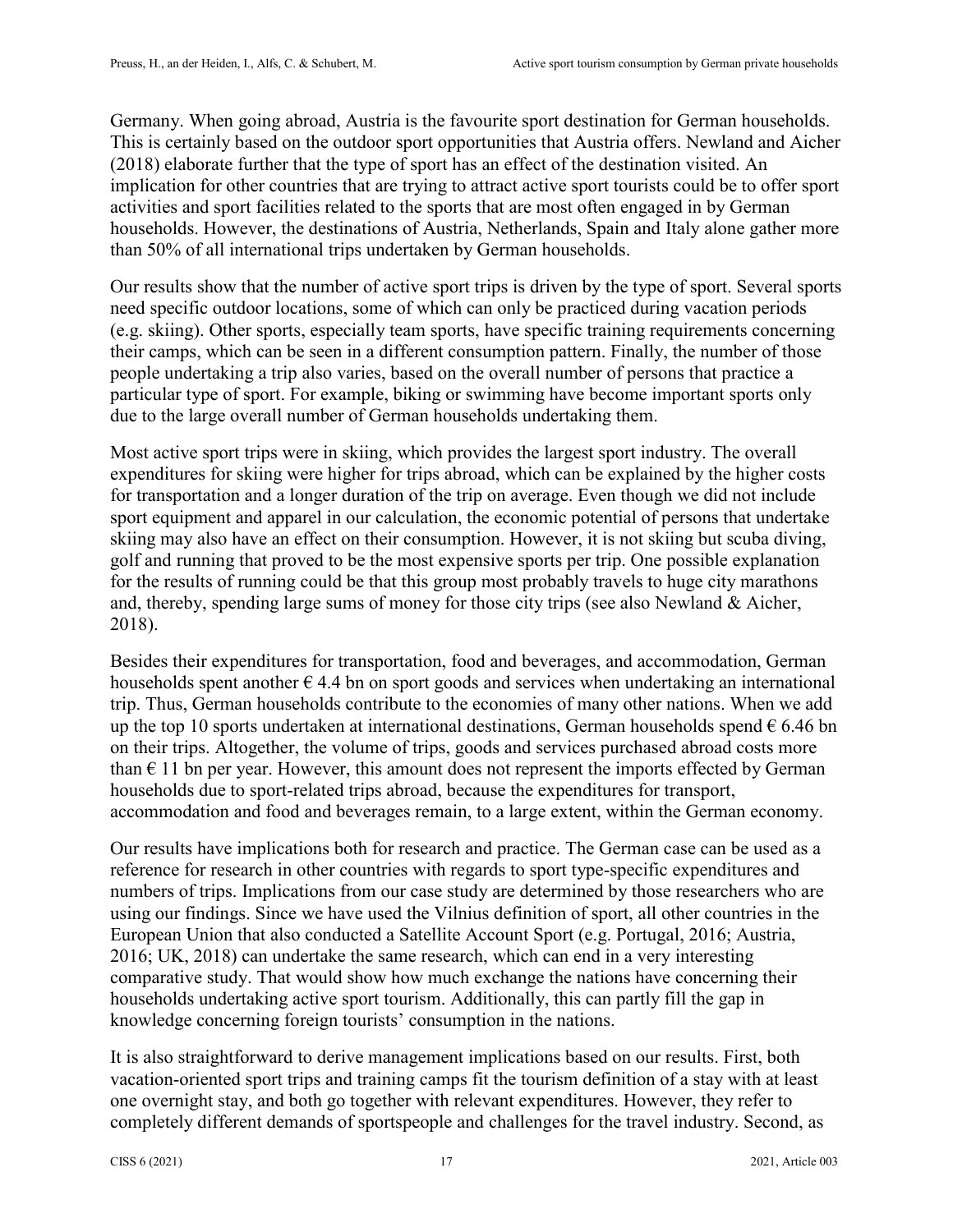Germany. When going abroad, Austria is the favourite sport destination for German households. This is certainly based on the outdoor sport opportunities that Austria offers. Newland and Aicher (2018) elaborate further that the type of sport has an effect of the destination visited. An implication for other countries that are trying to attract active sport tourists could be to offer sport activities and sport facilities related to the sports that are most often engaged in by German households. However, the destinations of Austria, Netherlands, Spain and Italy alone gather more than 50% of all international trips undertaken by German households.

Our results show that the number of active sport trips is driven by the type of sport. Several sports need specific outdoor locations, some of which can only be practiced during vacation periods (e.g. skiing). Other sports, especially team sports, have specific training requirements concerning their camps, which can be seen in a different consumption pattern. Finally, the number of those people undertaking a trip also varies, based on the overall number of persons that practice a particular type of sport. For example, biking or swimming have become important sports only due to the large overall number of German households undertaking them.

Most active sport trips were in skiing, which provides the largest sport industry. The overall expenditures for skiing were higher for trips abroad, which can be explained by the higher costs for transportation and a longer duration of the trip on average. Even though we did not include sport equipment and apparel in our calculation, the economic potential of persons that undertake skiing may also have an effect on their consumption. However, it is not skiing but scuba diving, golf and running that proved to be the most expensive sports per trip. One possible explanation for the results of running could be that this group most probably travels to huge city marathons and, thereby, spending large sums of money for those city trips (see also Newland & Aicher, 2018).

Besides their expenditures for transportation, food and beverages, and accommodation, German households spent another  $\epsilon$  4.4 bn on sport goods and services when undertaking an international trip. Thus, German households contribute to the economies of many other nations. When we add up the top 10 sports undertaken at international destinations, German households spend  $\epsilon$  6.46 bn on their trips. Altogether, the volume of trips, goods and services purchased abroad costs more than  $\epsilon$  11 bn per year. However, this amount does not represent the imports effected by German households due to sport-related trips abroad, because the expenditures for transport, accommodation and food and beverages remain, to a large extent, within the German economy.

Our results have implications both for research and practice. The German case can be used as a reference for research in other countries with regards to sport type-specific expenditures and numbers of trips. Implications from our case study are determined by those researchers who are using our findings. Since we have used the Vilnius definition of sport, all other countries in the European Union that also conducted a Satellite Account Sport (e.g. Portugal, 2016; Austria, 2016; UK, 2018) can undertake the same research, which can end in a very interesting comparative study. That would show how much exchange the nations have concerning their households undertaking active sport tourism. Additionally, this can partly fill the gap in knowledge concerning foreign tourists' consumption in the nations.

It is also straightforward to derive management implications based on our results. First, both vacation-oriented sport trips and training camps fit the tourism definition of a stay with at least one overnight stay, and both go together with relevant expenditures. However, they refer to completely different demands of sportspeople and challenges for the travel industry. Second, as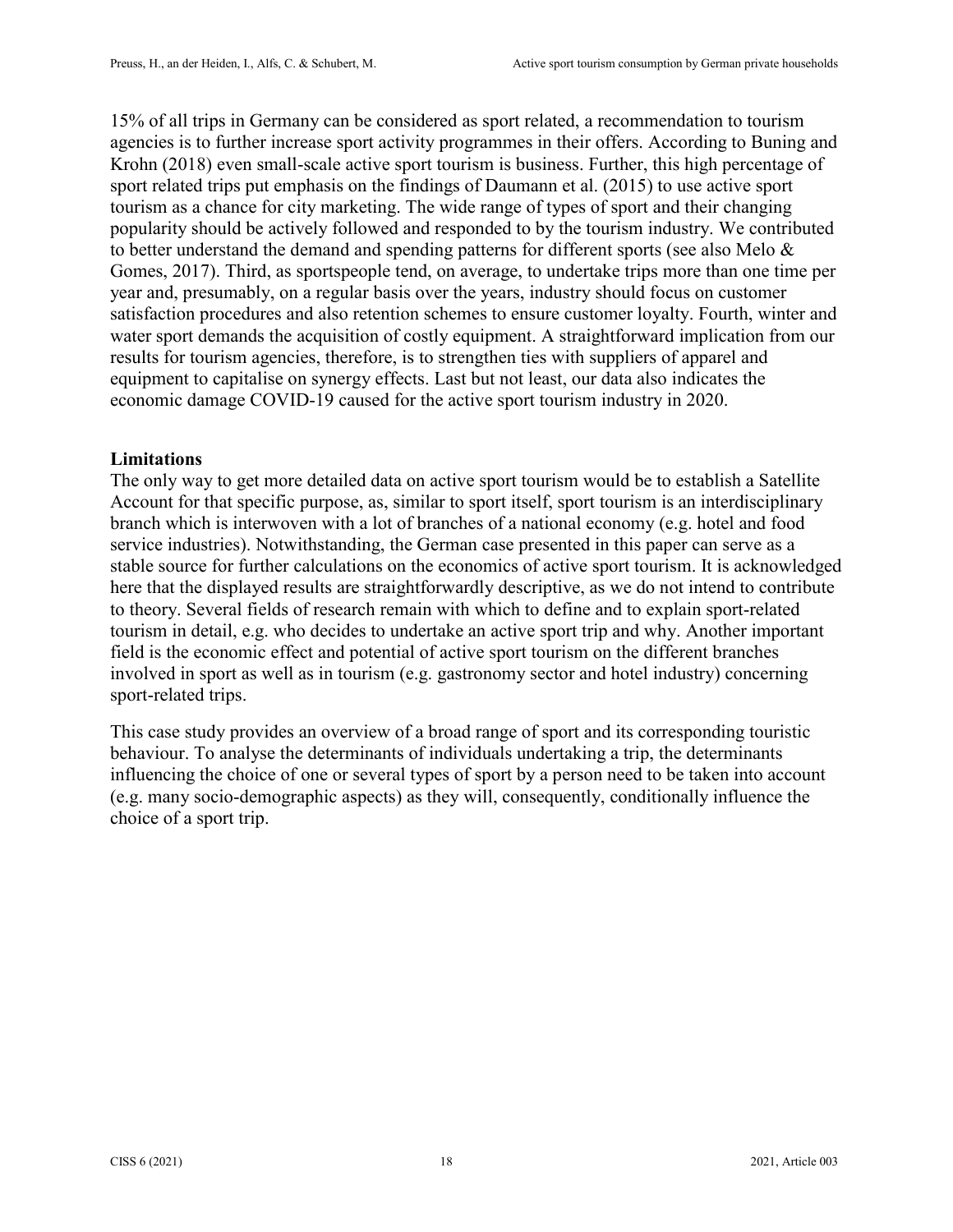15% of all trips in Germany can be considered as sport related, a recommendation to tourism agencies is to further increase sport activity programmes in their offers. According to Buning and Krohn (2018) even small-scale active sport tourism is business. Further, this high percentage of sport related trips put emphasis on the findings of Daumann et al. (2015) to use active sport tourism as a chance for city marketing. The wide range of types of sport and their changing popularity should be actively followed and responded to by the tourism industry. We contributed to better understand the demand and spending patterns for different sports (see also Melo & Gomes, 2017). Third, as sportspeople tend, on average, to undertake trips more than one time per year and, presumably, on a regular basis over the years, industry should focus on customer satisfaction procedures and also retention schemes to ensure customer loyalty. Fourth, winter and water sport demands the acquisition of costly equipment. A straightforward implication from our results for tourism agencies, therefore, is to strengthen ties with suppliers of apparel and equipment to capitalise on synergy effects. Last but not least, our data also indicates the economic damage COVID-19 caused for the active sport tourism industry in 2020.

## **Limitations**

The only way to get more detailed data on active sport tourism would be to establish a Satellite Account for that specific purpose, as, similar to sport itself, sport tourism is an interdisciplinary branch which is interwoven with a lot of branches of a national economy (e.g. hotel and food service industries). Notwithstanding, the German case presented in this paper can serve as a stable source for further calculations on the economics of active sport tourism. It is acknowledged here that the displayed results are straightforwardly descriptive, as we do not intend to contribute to theory. Several fields of research remain with which to define and to explain sport-related tourism in detail, e.g. who decides to undertake an active sport trip and why. Another important field is the economic effect and potential of active sport tourism on the different branches involved in sport as well as in tourism (e.g. gastronomy sector and hotel industry) concerning sport-related trips.

This case study provides an overview of a broad range of sport and its corresponding touristic behaviour. To analyse the determinants of individuals undertaking a trip, the determinants influencing the choice of one or several types of sport by a person need to be taken into account (e.g. many socio-demographic aspects) as they will, consequently, conditionally influence the choice of a sport trip.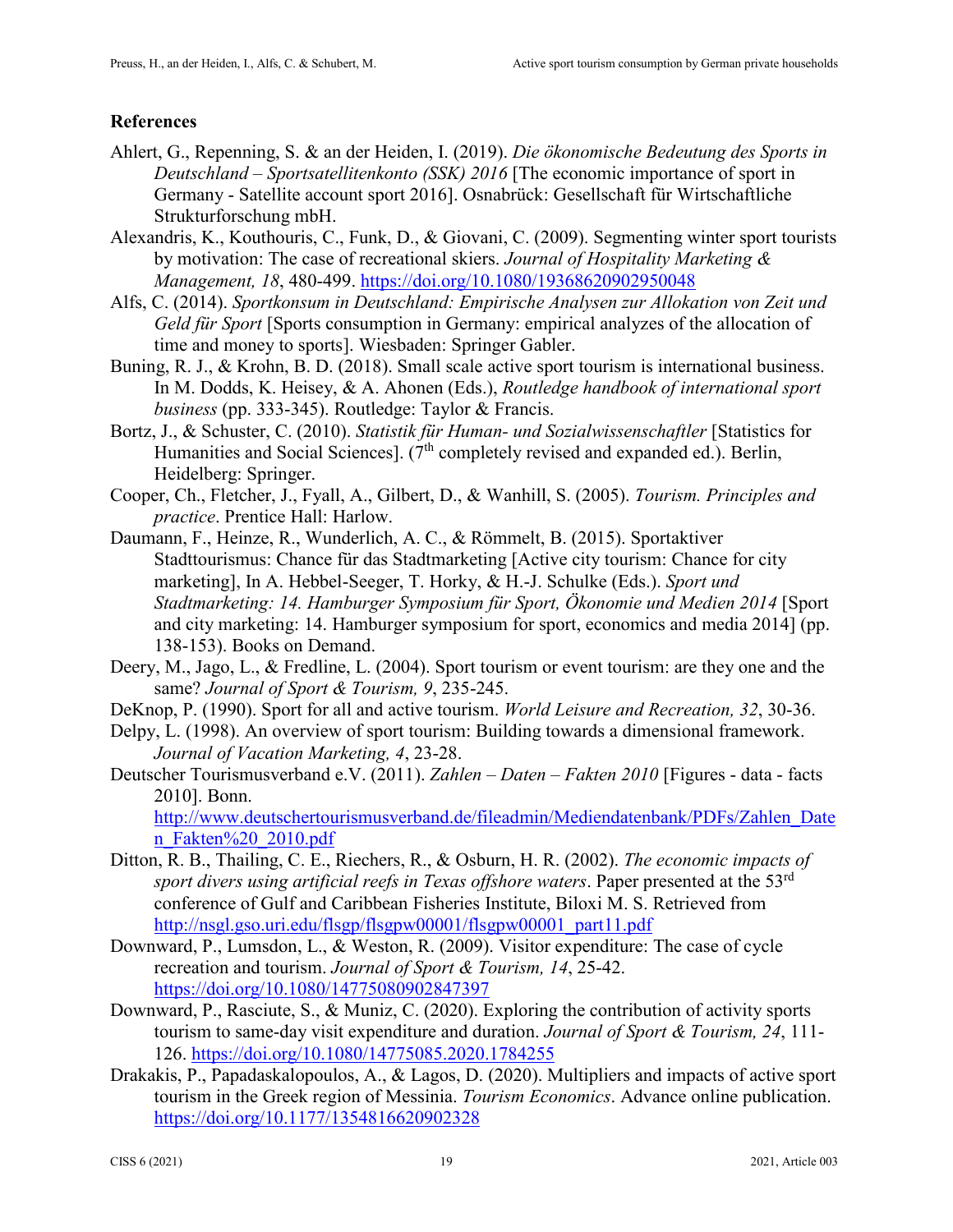## **References**

- Ahlert, G., Repenning, S. & an der Heiden, I. (2019). *Die ökonomische Bedeutung des Sports in Deutschland – Sportsatellitenkonto (SSK) 2016* [The economic importance of sport in Germany - Satellite account sport 2016]. Osnabrück: Gesellschaft für Wirtschaftliche Strukturforschung mbH.
- Alexandris, K., Kouthouris, C., Funk, D., & Giovani, C. (2009). Segmenting winter sport tourists by motivation: The case of recreational skiers. *Journal of Hospitality Marketing & Management, 18*, 480-499.<https://doi.org/10.1080/19368620902950048>
- Alfs, C. (2014). *Sportkonsum in Deutschland: Empirische Analysen zur Allokation von Zeit und Geld für Sport* [Sports consumption in Germany: empirical analyzes of the allocation of time and money to sports]. Wiesbaden: Springer Gabler.
- Buning, R. J., & Krohn, B. D. (2018). Small scale active sport tourism is international business. In M. Dodds, K. Heisey, & A. Ahonen (Eds.), *Routledge handbook of international sport business* (pp. 333-345). Routledge: Taylor & Francis.
- Bortz, J., & Schuster, C. (2010). *Statistik für Human- und Sozialwissenschaftler* [Statistics for Humanities and Social Sciences]. ( $7<sup>th</sup>$  completely revised and expanded ed.). Berlin, Heidelberg: Springer.
- Cooper, Ch., Fletcher, J., Fyall, A., Gilbert, D., & Wanhill, S. (2005). *Tourism. Principles and practice*. Prentice Hall: Harlow.
- Daumann, F., Heinze, R., Wunderlich, A. C., & Römmelt, B. (2015). Sportaktiver Stadttourismus: Chance für das Stadtmarketing [Active city tourism: Chance for city marketing], In A. Hebbel-Seeger, T. Horky, & H.-J. Schulke (Eds.). *Sport und Stadtmarketing: 14. Hamburger Symposium für Sport, Ökonomie und Medien 2014* [Sport and city marketing: 14. Hamburger symposium for sport, economics and media 2014] (pp. 138-153). Books on Demand.
- Deery, M., Jago, L., & Fredline, L. (2004). Sport tourism or event tourism: are they one and the same? *Journal of Sport & Tourism, 9*, 235-245.
- DeKnop, P. (1990). Sport for all and active tourism. *World Leisure and Recreation, 32*, 30-36.
- Delpy, L. (1998). An overview of sport tourism: Building towards a dimensional framework. *Journal of Vacation Marketing, 4*, 23-28.
- Deutscher Tourismusverband e.V. (2011). *Zahlen Daten Fakten 2010* [Figures data facts 2010]. Bonn.

[http://www.deutschertourismusverband.de/fileadmin/Mediendatenbank/PDFs/Zahlen\\_Date](http://www.deutschertourismusverband.de/fileadmin/Mediendatenbank/PDFs/Zahlen_Daten_Fakten%20_2010.pdf) [n\\_Fakten%20\\_2010.pdf](http://www.deutschertourismusverband.de/fileadmin/Mediendatenbank/PDFs/Zahlen_Daten_Fakten%20_2010.pdf)

- Ditton, R. B., Thailing, C. E., Riechers, R., & Osburn, H. R. (2002). *The economic impacts of sport divers using artificial reefs in Texas offshore waters*. Paper presented at the 53rd conference of Gulf and Caribbean Fisheries Institute, Biloxi M. S. Retrieved from [http://nsgl.gso.uri.edu/flsgp/flsgpw00001/flsgpw00001\\_part11.pdf](http://nsgl.gso.uri.edu/flsgp/flsgpw00001/flsgpw00001_part11.pdf)
- Downward, P., Lumsdon, L., & Weston, R. (2009). Visitor expenditure: The case of cycle recreation and tourism. *Journal of Sport & Tourism, 14*, 25-42. <https://doi.org/10.1080/14775080902847397>
- Downward, P., Rasciute, S., & Muniz, C. (2020). Exploring the contribution of activity sports tourism to same-day visit expenditure and duration. *Journal of Sport & Tourism, 24*, 111- 126.<https://doi.org/10.1080/14775085.2020.1784255>
- Drakakis, P., Papadaskalopoulos, A., & Lagos, D. (2020). Multipliers and impacts of active sport tourism in the Greek region of Messinia. *Tourism Economics*. Advance online publication. <https://doi.org/10.1177/1354816620902328>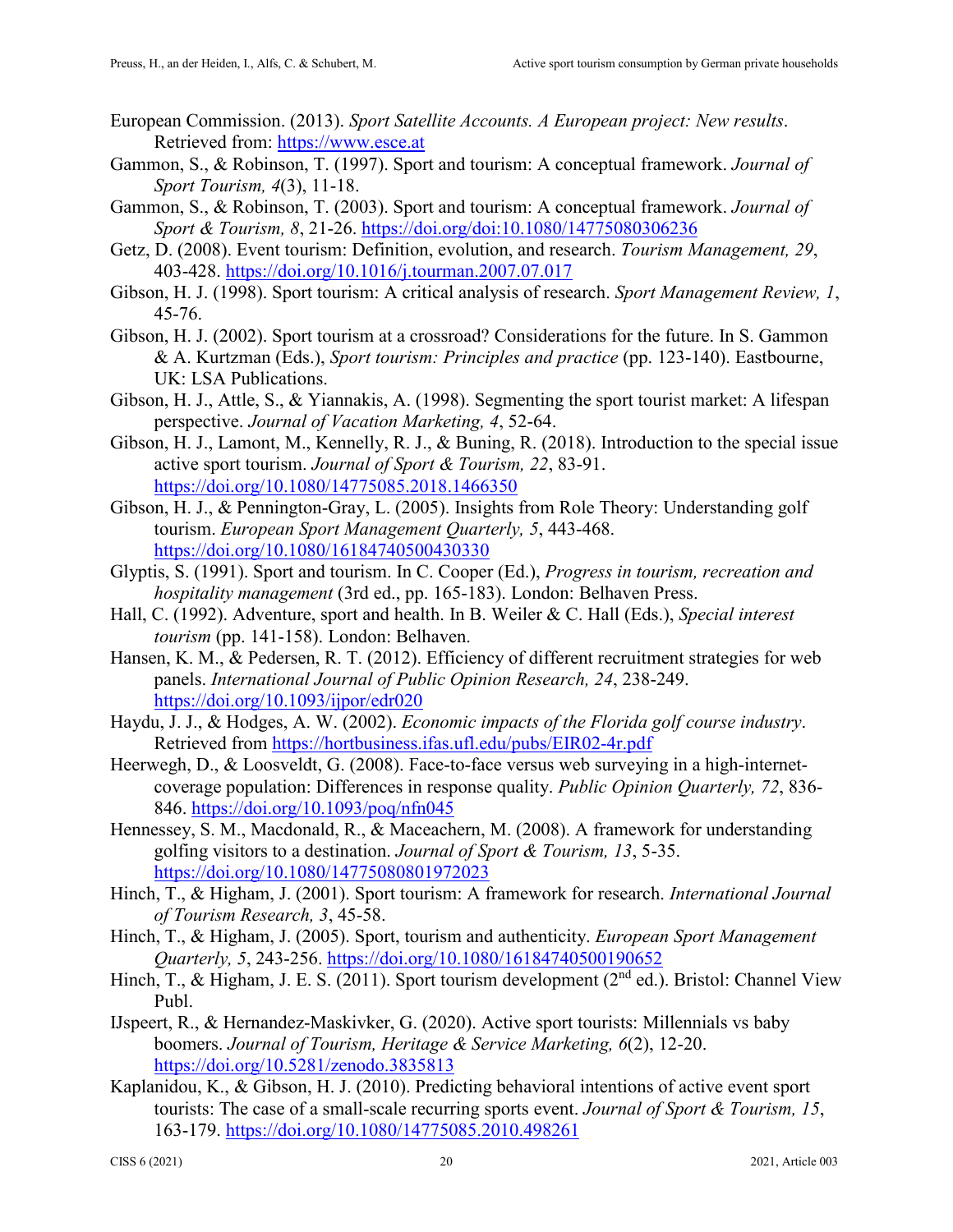- European Commission. (2013). *Sport Satellite Accounts. A European project: New results*. Retrieved from: [https://www.esce.at](https://www.esce.at/)
- Gammon, S., & Robinson, T. (1997). Sport and tourism: A conceptual framework. *Journal of Sport Tourism, 4*(3), 11-18.
- Gammon, S., & Robinson, T. (2003). Sport and tourism: A conceptual framework. *Journal of Sport & Tourism, 8*, 21-26.<https://doi.org/doi:10.1080/14775080306236>
- Getz, D. (2008). Event tourism: Definition, evolution, and research. *Tourism Management, 29*, 403-428.<https://doi.org/10.1016/j.tourman.2007.07.017>
- Gibson, H. J. (1998). Sport tourism: A critical analysis of research. *Sport Management Review, 1*, 45-76.
- Gibson, H. J. (2002). Sport tourism at a crossroad? Considerations for the future. In S. Gammon & A. Kurtzman (Eds.), *Sport tourism: Principles and practice* (pp. 123-140). Eastbourne, UK: LSA Publications.
- Gibson, H. J., Attle, S., & Yiannakis, A. (1998). Segmenting the sport tourist market: A lifespan perspective. *Journal of Vacation Marketing, 4*, 52-64.
- Gibson, H. J., Lamont, M., Kennelly, R. J., & Buning, R. (2018). Introduction to the special issue active sport tourism. *Journal of Sport & Tourism, 22*, 83-91. <https://doi.org/10.1080/14775085.2018.1466350>
- Gibson, H. J., & Pennington-Gray, L. (2005). Insights from Role Theory: Understanding golf tourism. *European Sport Management Quarterly, 5*, 443-468. <https://doi.org/10.1080/16184740500430330>
- Glyptis, S. (1991). Sport and tourism. In C. Cooper (Ed.), *Progress in tourism, recreation and hospitality management* (3rd ed., pp. 165-183). London: Belhaven Press.
- Hall, C. (1992). Adventure, sport and health. In B. Weiler & C. Hall (Eds.), *Special interest tourism* (pp. 141-158). London: Belhaven.
- Hansen, K. M., & Pedersen, R. T. (2012). Efficiency of different recruitment strategies for web panels. *International Journal of Public Opinion Research, 24*, 238-249. <https://doi.org/10.1093/ijpor/edr020>
- Haydu, J. J., & Hodges, A. W. (2002). *Economic impacts of the Florida golf course industry*. Retrieved from<https://hortbusiness.ifas.ufl.edu/pubs/EIR02-4r.pdf>
- Heerwegh, D., & Loosveldt, G. (2008). Face-to-face versus web surveying in a high-internetcoverage population: Differences in response quality. *Public Opinion Quarterly, 72*, 836- 846.<https://doi.org/10.1093/poq/nfn045>
- Hennessey, S. M., Macdonald, R., & Maceachern, M. (2008). A framework for understanding golfing visitors to a destination. *Journal of Sport & Tourism, 13*, 5-35. <https://doi.org/10.1080/14775080801972023>
- Hinch, T., & Higham, J. (2001). Sport tourism: A framework for research. *International Journal of Tourism Research, 3*, 45-58.
- Hinch, T., & Higham, J. (2005). Sport, tourism and authenticity. *European Sport Management Quarterly, 5*, 243-256.<https://doi.org/10.1080/16184740500190652>
- Hinch, T., & Higham, J. E. S. (2011). Sport tourism development (2<sup>nd</sup> ed.). Bristol: Channel View Publ.
- IJspeert, R., & Hernandez-Maskivker, G. (2020). Active sport tourists: Millennials vs baby boomers. *Journal of Tourism, Heritage & Service Marketing, 6*(2), 12-20. <https://doi.org/10.5281/zenodo.3835813>
- Kaplanidou, K., & Gibson, H. J. (2010). Predicting behavioral intentions of active event sport tourists: The case of a small-scale recurring sports event. *Journal of Sport & Tourism, 15*, 163-179.<https://doi.org/10.1080/14775085.2010.498261>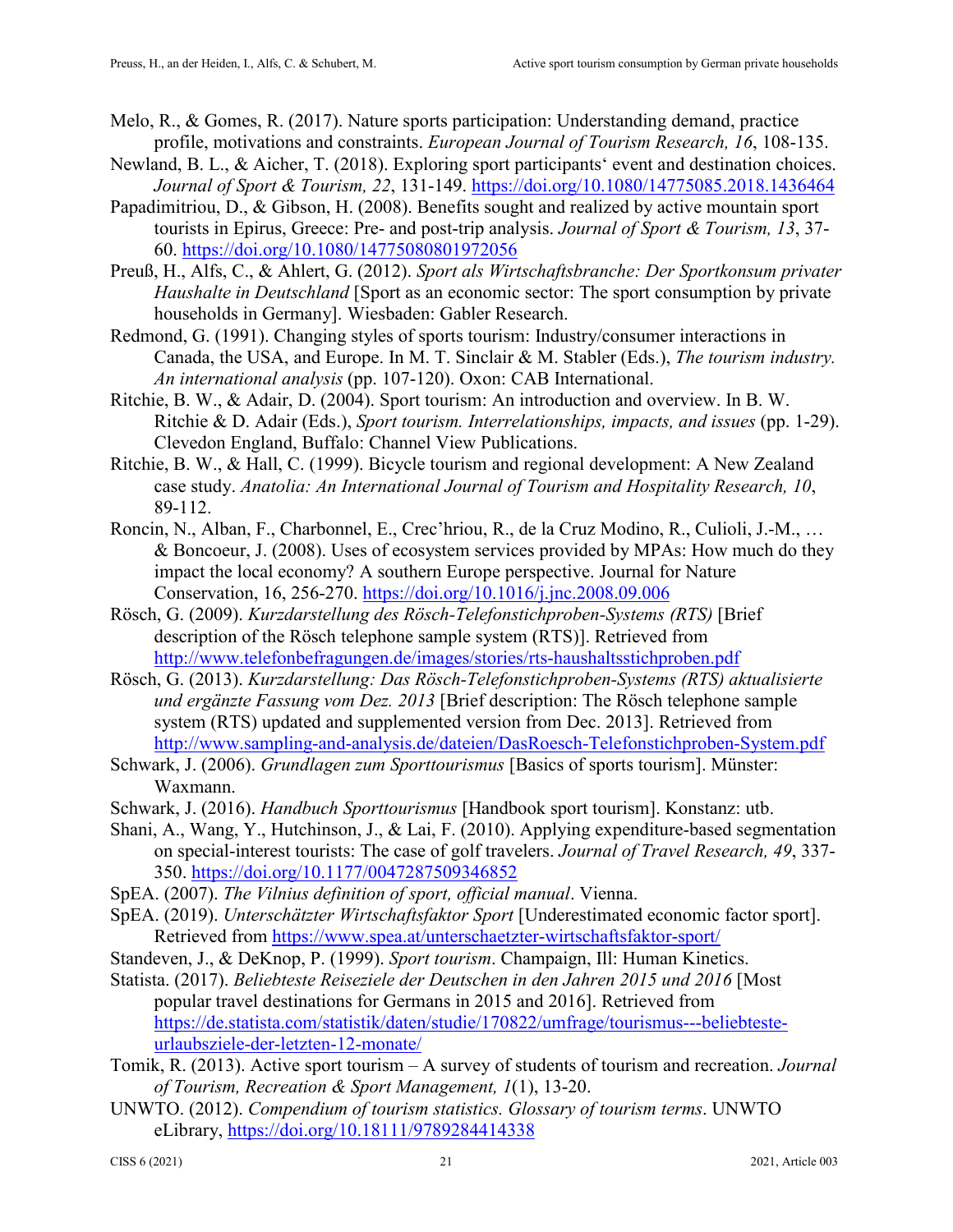- Melo, R., & Gomes, R. (2017). Nature sports participation: Understanding demand, practice profile, motivations and constraints. *European Journal of Tourism Research, 16*, 108-135.
- Newland, B. L., & Aicher, T. (2018). Exploring sport participants' event and destination choices. *Journal of Sport & Tourism, 22*, 131-149.<https://doi.org/10.1080/14775085.2018.1436464>
- Papadimitriou, D., & Gibson, H. (2008). Benefits sought and realized by active mountain sport tourists in Epirus, Greece: Pre- and post-trip analysis. *Journal of Sport & Tourism, 13*, 37- 60.<https://doi.org/10.1080/14775080801972056>
- Preuß, H., Alfs, C., & Ahlert, G. (2012). *Sport als Wirtschaftsbranche: Der Sportkonsum privater Haushalte in Deutschland* [Sport as an economic sector: The sport consumption by private households in Germany]. Wiesbaden: Gabler Research.
- Redmond, G. (1991). Changing styles of sports tourism: Industry/consumer interactions in Canada, the USA, and Europe. In M. T. Sinclair & M. Stabler (Eds.), *The tourism industry. An international analysis* (pp. 107-120). Oxon: CAB International.
- Ritchie, B. W., & Adair, D. (2004). Sport tourism: An introduction and overview. In B. W. Ritchie & D. Adair (Eds.), *Sport tourism. Interrelationships, impacts, and issues* (pp. 1-29). Clevedon England, Buffalo: Channel View Publications.
- Ritchie, B. W., & Hall, C. (1999). Bicycle tourism and regional development: A New Zealand case study. *Anatolia: An International Journal of Tourism and Hospitality Research, 10*, 89-112.
- Roncin, N., Alban, F., Charbonnel, E., Crec'hriou, R., de la Cruz Modino, R., Culioli, J.-M., … & Boncoeur, J. (2008). Uses of ecosystem services provided by MPAs: How much do they impact the local economy? A southern Europe perspective. Journal for Nature Conservation, 16, 256-270.<https://doi.org/10.1016/j.jnc.2008.09.006>
- Rösch, G. (2009). *Kurzdarstellung des Rösch-Telefonstichproben-Systems (RTS)* [Brief description of the Rösch telephone sample system (RTS)]. Retrieved from <http://www.telefonbefragungen.de/images/stories/rts-haushaltsstichproben.pdf>
- Rösch, G. (2013). *Kurzdarstellung: Das Rösch-Telefonstichproben-Systems (RTS) aktualisierte und ergänzte Fassung vom Dez. 2013* [Brief description: The Rösch telephone sample system (RTS) updated and supplemented version from Dec. 2013]. Retrieved from <http://www.sampling-and-analysis.de/dateien/DasRoesch-Telefonstichproben-System.pdf>
- Schwark, J. (2006). *Grundlagen zum Sporttourismus* [Basics of sports tourism]. Münster: Waxmann.
- Schwark, J. (2016). *Handbuch Sporttourismus* [Handbook sport tourism]. Konstanz: utb.
- Shani, A., Wang, Y., Hutchinson, J., & Lai, F. (2010). Applying expenditure-based segmentation on special-interest tourists: The case of golf travelers. *Journal of Travel Research, 49*, 337- 350. [https://doi.org/10.1177/0047287509346852](https://doi.org/10.1177%2F0047287509346852)
- SpEA. (2007). *The Vilnius definition of sport, official manual*. Vienna.
- SpEA. (2019). *Unterschätzter Wirtschaftsfaktor Sport* [Underestimated economic factor sport]. Retrieved from<https://www.spea.at/unterschaetzter-wirtschaftsfaktor-sport/>
- Standeven, J., & DeKnop, P. (1999). *Sport tourism*. Champaign, Ill: Human Kinetics.
- Statista. (2017). *Beliebteste Reiseziele der Deutschen in den Jahren 2015 und 2016* [Most popular travel destinations for Germans in 2015 and 2016]. Retrieved from [https://de.statista.com/statistik/daten/studie/170822/umfrage/tourismus---beliebteste](https://de.statista.com/statistik/daten/studie/170822/umfrage/tourismus---beliebteste-urlaubsziele-der-letzten-12-monate/)[urlaubsziele-der-letzten-12-monate/](https://de.statista.com/statistik/daten/studie/170822/umfrage/tourismus---beliebteste-urlaubsziele-der-letzten-12-monate/)
- Tomik, R. (2013). Active sport tourism A survey of students of tourism and recreation. *Journal of Tourism, Recreation & Sport Management, 1*(1), 13-20.
- UNWTO. (2012). *Compendium of tourism statistics. Glossary of tourism terms*. UNWTO eLibrary,<https://doi.org/10.18111/9789284414338>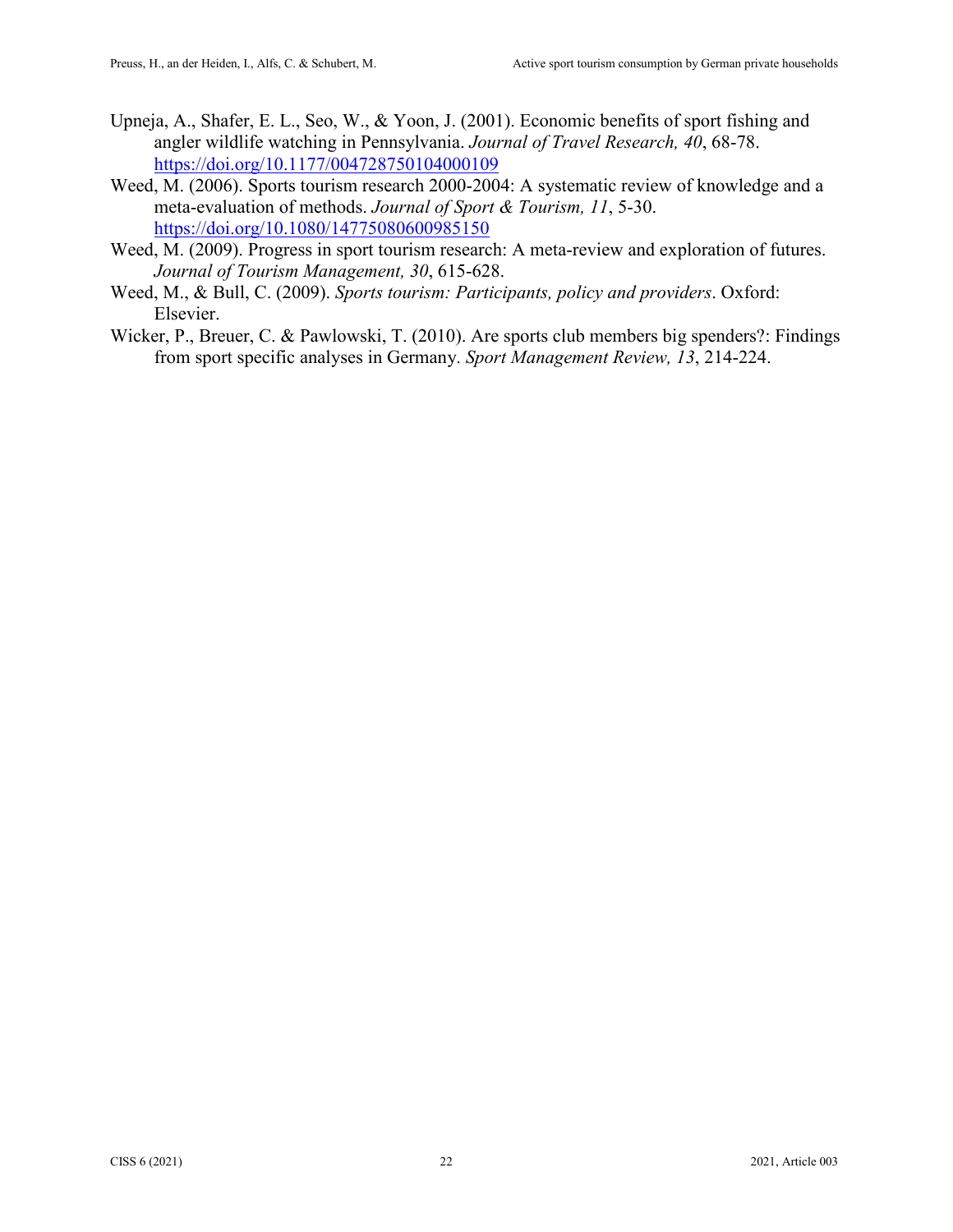- Upneja, A., Shafer, E. L., Seo, W., & Yoon, J. (2001). Economic benefits of sport fishing and angler wildlife watching in Pennsylvania. *Journal of Travel Research, 40*, 68-78. [https://doi.org/10.1177/004728750104000109](https://doi.org/10.1177%2F004728750104000109)
- Weed, M. (2006). Sports tourism research 2000-2004: A systematic review of knowledge and a meta-evaluation of methods. *Journal of Sport & Tourism, 11*, 5-30. <https://doi.org/10.1080/14775080600985150>
- Weed, M. (2009). Progress in sport tourism research: A meta-review and exploration of futures. *Journal of Tourism Management, 30*, 615-628.
- Weed, M., & Bull, C. (2009). *Sports tourism: Participants, policy and providers*. Oxford: Elsevier.
- Wicker, P., Breuer, C. & Pawlowski, T. (2010). Are sports club members big spenders?: Findings from sport specific analyses in Germany. *Sport Management Review, 13*, 214-224.